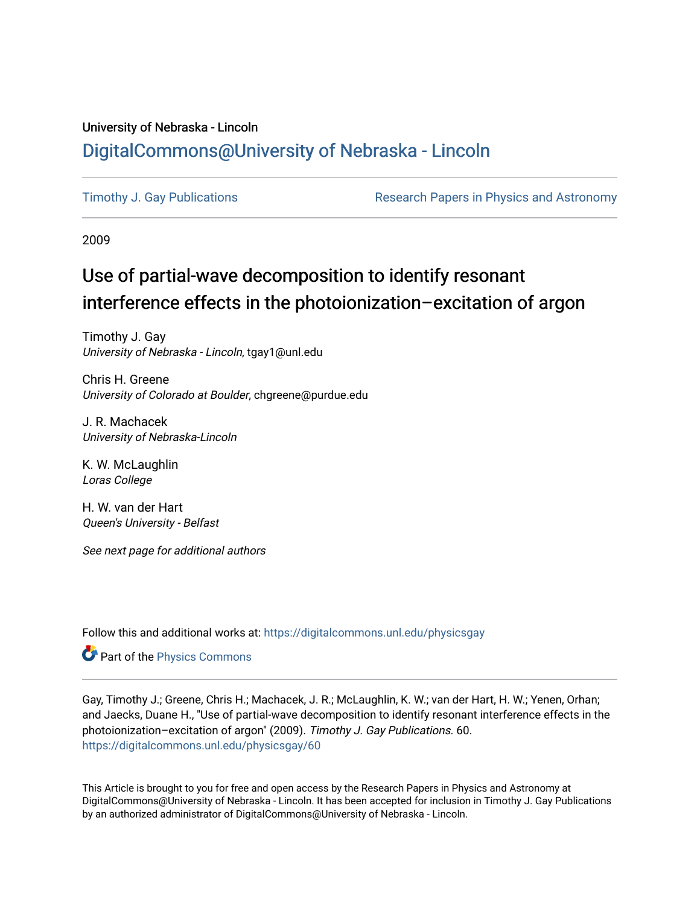# University of Nebraska - Lincoln [DigitalCommons@University of Nebraska - Lincoln](https://digitalcommons.unl.edu/)

[Timothy J. Gay Publications](https://digitalcommons.unl.edu/physicsgay) **Research Papers in Physics and Astronomy** 

2009

# Use of partial-wave decomposition to identify resonant interference effects in the photoionization–excitation of argon

Timothy J. Gay University of Nebraska - Lincoln, tgay1@unl.edu

Chris H. Greene University of Colorado at Boulder, chgreene@purdue.edu

J. R. Machacek University of Nebraska-Lincoln

K. W. McLaughlin Loras College

H. W. van der Hart Queen's University - Belfast

See next page for additional authors

Follow this and additional works at: [https://digitalcommons.unl.edu/physicsgay](https://digitalcommons.unl.edu/physicsgay?utm_source=digitalcommons.unl.edu%2Fphysicsgay%2F60&utm_medium=PDF&utm_campaign=PDFCoverPages)

Part of the [Physics Commons](http://network.bepress.com/hgg/discipline/193?utm_source=digitalcommons.unl.edu%2Fphysicsgay%2F60&utm_medium=PDF&utm_campaign=PDFCoverPages)

Gay, Timothy J.; Greene, Chris H.; Machacek, J. R.; McLaughlin, K. W.; van der Hart, H. W.; Yenen, Orhan; and Jaecks, Duane H., "Use of partial-wave decomposition to identify resonant interference effects in the photoionization–excitation of argon" (2009). Timothy J. Gay Publications. 60. [https://digitalcommons.unl.edu/physicsgay/60](https://digitalcommons.unl.edu/physicsgay/60?utm_source=digitalcommons.unl.edu%2Fphysicsgay%2F60&utm_medium=PDF&utm_campaign=PDFCoverPages) 

This Article is brought to you for free and open access by the Research Papers in Physics and Astronomy at DigitalCommons@University of Nebraska - Lincoln. It has been accepted for inclusion in Timothy J. Gay Publications by an authorized administrator of DigitalCommons@University of Nebraska - Lincoln.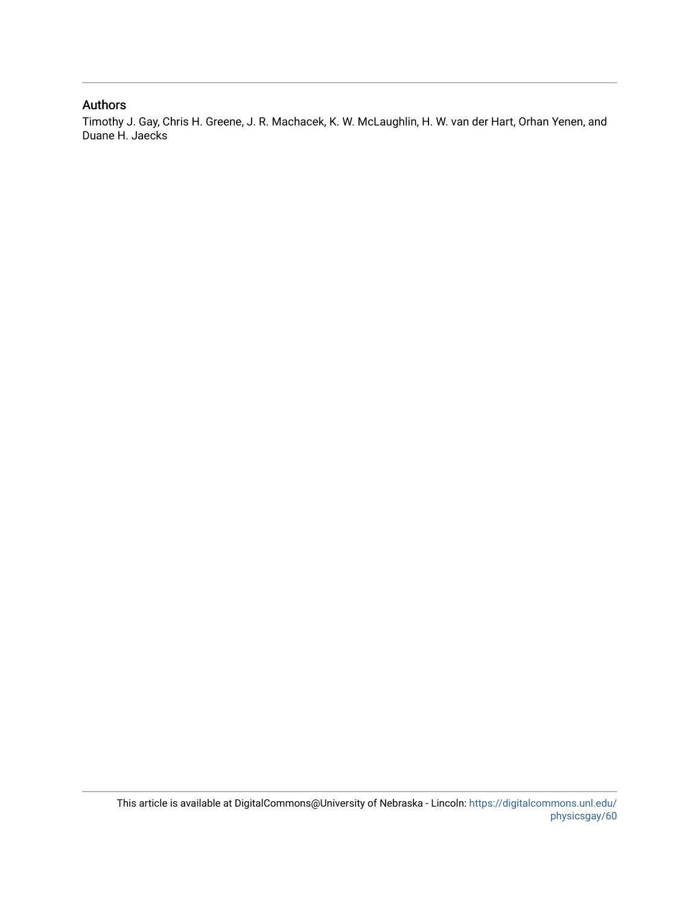## Authors

Timothy J. Gay, Chris H. Greene, J. R. Machacek, K. W. McLaughlin, H. W. van der Hart, Orhan Yenen, and Duane H. Jaecks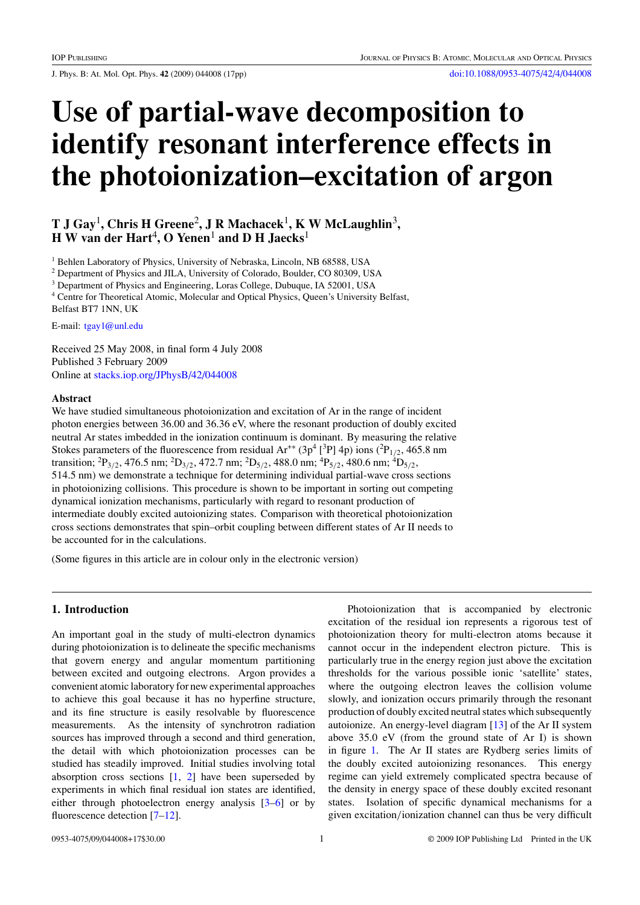J. Phys. B: At. Mol. Opt. Phys. **42** (2009) 044008 (17pp) [doi:10.1088/0953-4075/42/4/044008](http://dx.doi.org/10.1088/0953-4075/42/4/044008)

# **Use of partial-wave decomposition to identify resonant interference effects in the photoionization–excitation of argon**

## **T J Gay**1**, Chris H Greene**2**, J R Machacek**1**, K W McLaughlin**3**, H W van der Hart**4**, O Yenen**<sup>1</sup> **and D H Jaecks**<sup>1</sup>

<sup>1</sup> Behlen Laboratory of Physics, University of Nebraska, Lincoln, NB 68588, USA

<sup>2</sup> Department of Physics and JILA, University of Colorado, Boulder, CO 80309, USA

<sup>3</sup> Department of Physics and Engineering, Loras College, Dubuque, IA 52001, USA

<sup>4</sup> Centre for Theoretical Atomic, Molecular and Optical Physics, Queen's University Belfast, Belfast BT7 1NN, UK

E-mail: [tgay1@unl.edu](mailto:tgay1@unl.edu)

Received 25 May 2008, in final form 4 July 2008 Published 3 February 2009 Online at [stacks.iop.org/JPhysB/42/044008](http://stacks.iop.org/JPhysB/42/044008)

#### **Abstract**

We have studied simultaneous photoionization and excitation of Ar in the range of incident photon energies between 36.00 and 36.36 eV, where the resonant production of doubly excited neutral Ar states imbedded in the ionization continuum is dominant. By measuring the relative Stokes parameters of the fluorescence from residual  $Ar^{**} (3p^4 [^3P] 4p)$  ions  $(^2P_{1/2}$ , 465.8 nm transition; <sup>2</sup> P3*/*2, 476.5 nm; <sup>2</sup> D3*/*2, 472.7 nm; <sup>2</sup> D5*/*2, 488.0 nm; <sup>4</sup> P5*/*2, 480.6 nm; <sup>4</sup> D5*/*2, 514.5 nm) we demonstrate a technique for determining individual partial-wave cross sections in photoionizing collisions. This procedure is shown to be important in sorting out competing dynamical ionization mechanisms, particularly with regard to resonant production of intermediate doubly excited autoionizing states. Comparison with theoretical photoionization cross sections demonstrates that spin–orbit coupling between different states of Ar II needs to be accounted for in the calculations.

(Some figures in this article are in colour only in the electronic version)

### **1. Introduction**

An important goal in the study of multi-electron dynamics during photoionization is to delineate the specific mechanisms that govern energy and angular momentum partitioning between excited and outgoing electrons. Argon provides a convenient atomic laboratory for new experimental approaches to achieve this goal because it has no hyperfine structure, and its fine structure is easily resolvable by fluorescence measurements. As the intensity of synchrotron radiation sources has improved through a second and third generation, the detail with which photoionization processes can be studied has steadily improved. Initial studies involving total absorption cross sections  $[1, 2]$  $[1, 2]$  $[1, 2]$  have been superseded by experiments in which final residual ion states are identified, either through photoelectron energy analysis [\[3–6\]](#page-17-0) or by fluorescence detection [\[7–12\]](#page-17-0).

Photoionization that is accompanied by electronic excitation of the residual ion represents a rigorous test of photoionization theory for multi-electron atoms because it cannot occur in the independent electron picture. This is particularly true in the energy region just above the excitation thresholds for the various possible ionic 'satellite' states, where the outgoing electron leaves the collision volume slowly, and ionization occurs primarily through the resonant production of doubly excited neutral states which subsequently autoionize. An energy-level diagram [\[13](#page-17-0)] of the Ar II system above 35.0 eV (from the ground state of Ar I) is shown in figure [1.](#page-3-0) The Ar II states are Rydberg series limits of the doubly excited autoionizing resonances. This energy regime can yield extremely complicated spectra because of the density in energy space of these doubly excited resonant states. Isolation of specific dynamical mechanisms for a given excitation*/*ionization channel can thus be very difficult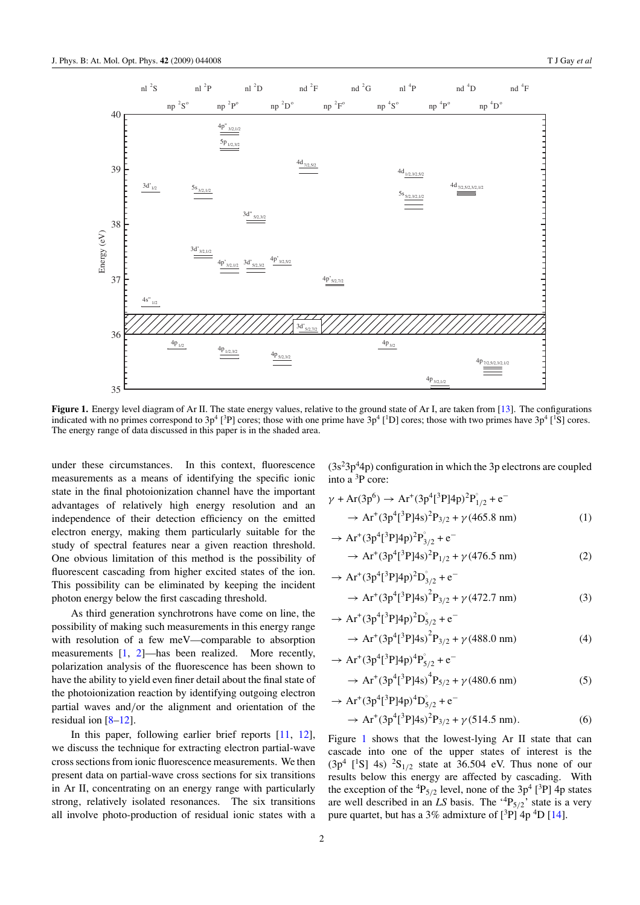<span id="page-3-0"></span>

 $n^2S$  $nl<sup>2</sup>P$ nl  ${}^{2}D$  $nd<sup>2</sup>F$  $nd \nvert^2 G$  $nl<sup>4</sup>P$  $nd \nvert^4$ D D  $\text{nd} \, {}^4\text{F}$ 

**Figure 1.** Energy level diagram of Ar II. The state energy values, relative to the ground state of Ar I, are taken from [\[13](#page-17-0)]. The configurations indicated with no primes correspond to  $3p^4$  [<sup>3</sup>P] cores; those with one prime have  $3p^4$  [<sup>1</sup>D] cores; those with two primes have  $3p^4$  [<sup>1</sup>S] cores. The energy range of data discussed in this paper is in the shaded area.

under these circumstances. In this context, fluorescence measurements as a means of identifying the specific ionic state in the final photoionization channel have the important advantages of relatively high energy resolution and an independence of their detection efficiency on the emitted electron energy, making them particularly suitable for the study of spectral features near a given reaction threshold. One obvious limitation of this method is the possibility of fluorescent cascading from higher excited states of the ion. This possibility can be eliminated by keeping the incident photon energy below the first cascading threshold.

As third generation synchrotrons have come on line, the possibility of making such measurements in this energy range with resolution of a few meV—comparable to absorption measurements [\[1](#page-17-0), [2\]](#page-17-0)—has been realized. More recently, polarization analysis of the fluorescence has been shown to have the ability to yield even finer detail about the final state of the photoionization reaction by identifying outgoing electron partial waves and*/*or the alignment and orientation of the residual ion  $[8-12]$ .

In this paper, following earlier brief reports [\[11,](#page-17-0) [12](#page-17-0)], we discuss the technique for extracting electron partial-wave cross sections from ionic fluorescence measurements. We then present data on partial-wave cross sections for six transitions in Ar II, concentrating on an energy range with particularly strong, relatively isolated resonances. The six transitions all involve photo-production of residual ionic states with a  $(3s<sup>2</sup>3p<sup>4</sup>4p)$  configuration in which the 3p electrons are coupled into a <sup>3</sup> P core:

$$
\gamma + Ar(3p^6) \rightarrow Ar^+(3p^4[^3P]4p)^2P_{1/2}^{\circ} + e^-
$$
  
\n
$$
\rightarrow Ar^+(3p^4[^3P]4s)^2P_{3/2} + \gamma (465.8 \text{ nm})
$$
 (1)

$$
\rightarrow Ar^+(3p^4[^3P]4p)^2P_{3/2}^{\circ} + e^-
$$
  

$$
\rightarrow Ar^+(3p^4[^3P]4s)^2P_{1/2} + \gamma (476.5 \text{ nm})
$$
 (2)

$$
\rightarrow Ar^{+}(3p^{4}[{}^{3}P]4p)^{2}D_{3/2}^{^{\circ}} + e^{-}
$$
  

$$
\rightarrow Ar^{+}(3p^{4}[{}^{3}P]4s)^{2}P_{3/2} + \gamma(472.7 \text{ nm})
$$
(3)

$$
\rightarrow Ar^{+}(3p^{4}[{}^{3}P]4p)^{2}D_{5/2}^{°} + e^{-}
$$
  

$$
\rightarrow Ar^{+}(3p^{4}[{}^{3}P]4s)^{2}P_{3/2} + \gamma (488.0 \text{ nm})
$$
 (4)

$$
\rightarrow Ar^+(3p^4[^3P]4p)^4P^{\circ}_{5/2} + e^-
$$
  

$$
\rightarrow Ar^+(3p^4[^3P]4s)^4P_{5/2} + \gamma (480.6 \text{ nm})
$$
 (5)

$$
\rightarrow Ar^{+}(3p^{4}[{}^{3}P]4p)^{4}D_{5/2}^{°} + e^{-}
$$
  

$$
\rightarrow Ar^{+}(3p^{4}[{}^{3}P]4s)^{2}P_{3/2} + \gamma(514.5 \text{ nm}).
$$
 (6)

Figure 1 shows that the lowest-lying Ar II state that can cascade into one of the upper states of interest is the  $(3p^4 \tbinom{1}{5} 4s)$  <sup>2</sup>S<sub>1/2</sub> state at 36.504 eV. Thus none of our results below this energy are affected by cascading. With the exception of the  ${}^{4}P_{5/2}$  level, none of the  $3p^4$  [<sup>3</sup>P] 4p states are well described in an *LS* basis. The '<sup>4</sup> P5*/*2' state is a very pure quartet, but has a  $3\%$  admixture of  $[{}^{3}P]$  4p  ${}^{4}D$  [\[14](#page-17-0)].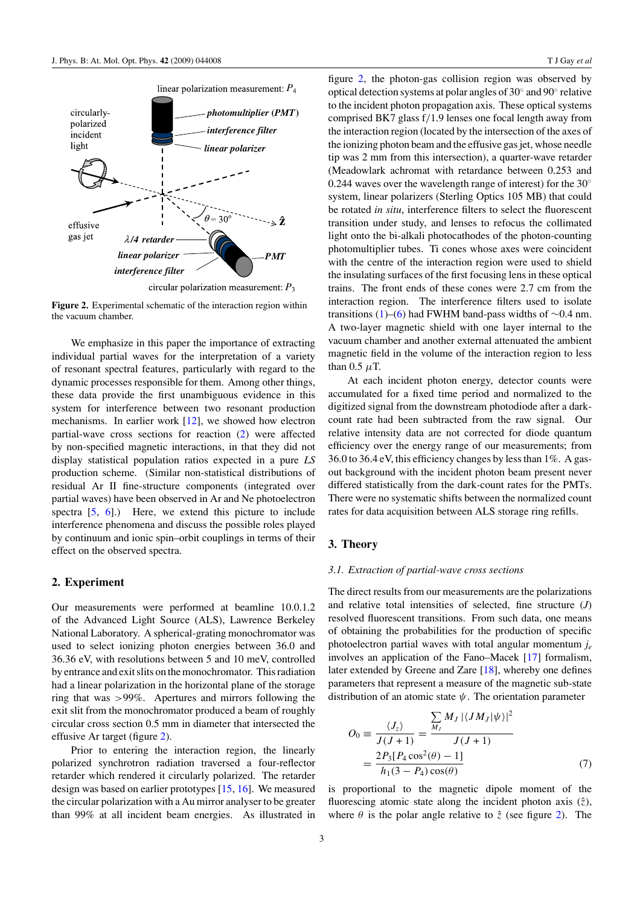<span id="page-4-0"></span>

circular polarization measurement:  $P_3$ 

**Figure 2.** Experimental schematic of the interaction region within the vacuum chamber.

We emphasize in this paper the importance of extracting individual partial waves for the interpretation of a variety of resonant spectral features, particularly with regard to the dynamic processes responsible for them. Among other things, these data provide the first unambiguous evidence in this system for interference between two resonant production mechanisms. In earlier work [\[12](#page-17-0)], we showed how electron partial-wave cross sections for reaction [\(2\)](#page-3-0) were affected by non-specified magnetic interactions, in that they did not display statistical population ratios expected in a pure *LS* production scheme. (Similar non-statistical distributions of residual Ar II fine-structure components (integrated over partial waves) have been observed in Ar and Ne photoelectron spectra [\[5,](#page-17-0) [6\]](#page-17-0).) Here, we extend this picture to include interference phenomena and discuss the possible roles played by continuum and ionic spin–orbit couplings in terms of their effect on the observed spectra.

#### **2. Experiment**

Our measurements were performed at beamline 10.0.1.2 of the Advanced Light Source (ALS), Lawrence Berkeley National Laboratory. A spherical-grating monochromator was used to select ionizing photon energies between 36.0 and 36.36 eV, with resolutions between 5 and 10 meV, controlled by entrance and exit slits on the monochromator. This radiation had a linear polarization in the horizontal plane of the storage ring that was *>*99%. Apertures and mirrors following the exit slit from the monochromator produced a beam of roughly circular cross section 0.5 mm in diameter that intersected the effusive Ar target (figure 2).

Prior to entering the interaction region, the linearly polarized synchrotron radiation traversed a four-reflector retarder which rendered it circularly polarized. The retarder design was based on earlier prototypes [\[15,](#page-17-0) [16\]](#page-17-0). We measured the circular polarization with a Au mirror analyser to be greater than 99% at all incident beam energies. As illustrated in

figure 2, the photon-gas collision region was observed by optical detection systems at polar angles of 30◦ and 90◦ relative to the incident photon propagation axis. These optical systems comprised BK7 glass f*/*1.9 lenses one focal length away from the interaction region (located by the intersection of the axes of the ionizing photon beam and the effusive gas jet, whose needle tip was 2 mm from this intersection), a quarter-wave retarder (Meadowlark achromat with retardance between 0.253 and 0.244 waves over the wavelength range of interest) for the  $30^\circ$ system, linear polarizers (Sterling Optics 105 MB) that could be rotated *in situ*, interference filters to select the fluorescent transition under study, and lenses to refocus the collimated light onto the bi-alkali photocathodes of the photon-counting photomultiplier tubes. Ti cones whose axes were coincident with the centre of the interaction region were used to shield the insulating surfaces of the first focusing lens in these optical trains. The front ends of these cones were 2.7 cm from the interaction region. The interference filters used to isolate transitions [\(1\)](#page-3-0)–[\(6\)](#page-3-0) had FWHM band-pass widths of  $\sim$ 0.4 nm. A two-layer magnetic shield with one layer internal to the vacuum chamber and another external attenuated the ambient magnetic field in the volume of the interaction region to less than 0.5 *μ*T.

At each incident photon energy, detector counts were accumulated for a fixed time period and normalized to the digitized signal from the downstream photodiode after a darkcount rate had been subtracted from the raw signal. Our relative intensity data are not corrected for diode quantum efficiency over the energy range of our measurements; from 36.0 to 36.4 eV, this efficiency changes by less than 1%. A gasout background with the incident photon beam present never differed statistically from the dark-count rates for the PMTs. There were no systematic shifts between the normalized count rates for data acquisition between ALS storage ring refills.

#### **3. Theory**

#### *3.1. Extraction of partial-wave cross sections*

The direct results from our measurements are the polarizations and relative total intensities of selected, fine structure (*J*) resolved fluorescent transitions. From such data, one means of obtaining the probabilities for the production of specific photoelectron partial waves with total angular momentum *je* involves an application of the Fano–Macek [\[17\]](#page-17-0) formalism, later extended by Greene and Zare [\[18](#page-17-0)], whereby one defines parameters that represent a measure of the magnetic sub-state distribution of an atomic state *ψ*. The orientation parameter

$$
O_0 \equiv \frac{\langle J_z \rangle}{J(J+1)} = \frac{\sum_{M_J} M_J |\langle JM_J | \psi \rangle|^2}{J(J+1)}
$$
  
= 
$$
\frac{2P_3[P_4 \cos^2(\theta) - 1]}{h_1(3 - P_4) \cos(\theta)}
$$
(7)

is proportional to the magnetic dipole moment of the fluorescing atomic state along the incident photon axis  $(\hat{z})$ , where  $\theta$  is the polar angle relative to  $\hat{z}$  (see figure 2). The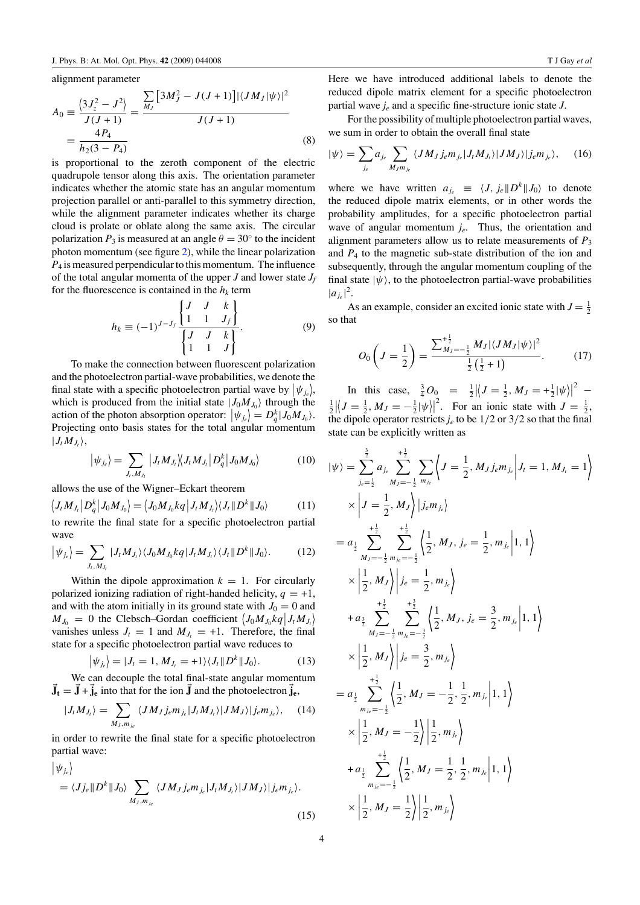alignment parameter

$$
A_0 = \frac{\langle 3J_z^2 - J^2 \rangle}{J(J+1)} = \frac{\sum_{M_J} [3M_J^2 - J(J+1)] |\langle JM_J|\psi \rangle|^2}{J(J+1)}
$$
  
=  $\frac{4P_4}{h_2(3 - P_4)}$  (8)

is proportional to the zeroth component of the electric quadrupole tensor along this axis. The orientation parameter indicates whether the atomic state has an angular momentum projection parallel or anti-parallel to this symmetry direction, while the alignment parameter indicates whether its charge cloud is prolate or oblate along the same axis. The circular polarization  $P_3$  is measured at an angle  $\theta = 30^\circ$  to the incident photon momentum (see figure [2\)](#page-4-0), while the linear polarization *P*<sup>4</sup> is measured perpendicular to this momentum. The influence of the total angular momenta of the upper *J* and lower state  $J_f$ for the fluorescence is contained in the  $h_k$  term

$$
h_k \equiv (-1)^{J-J_f} \frac{\begin{Bmatrix} J & J & k \\ 1 & 1 & J_f \end{Bmatrix}}{\begin{Bmatrix} J & J & k \\ 1 & 1 & J \end{Bmatrix}}.
$$
 (9)

To make the connection between fluorescent polarization and the photoelectron partial-wave probabilities, we denote the final state with a specific photoelectron partial wave by  $|\psi_{j_e}|$ , which is produced from the initial state  $|J_0M_{J_0}\rangle$  through the action of the photon absorption operator:  $|\psi_{j_e}| = D_q^k |J_0 M_{J_0}\rangle$ . Projecting onto basis states for the total angular momentum  $|J_tM_{J_t}\rangle$ ,

$$
\left| \psi_{j_c} \right| = \sum_{J_t, M_{J_t}} \left| J_t M_{J_t} \right| \left\langle J_t M_{J_t} \right| D_q^k \left| J_0 M_{J_0} \right\rangle \tag{10}
$$

allows the use of the Wigner–Eckart theorem

$$
\langle J_t M_{J_t} | D_q^k | J_0 M_{J_0} \rangle = \langle J_0 M_{J_0} kq | J_t M_{J_t} \rangle \langle J_t | D^k | J_0 \rangle \tag{11}
$$

to rewrite the final state for a specific photoelectron partial wave

$$
\left|\psi_{j_e}\right\rangle = \sum_{J_t, M_{J_t}} |J_t M_{J_t}\rangle \langle J_0 M_{J_0} kq | J_t M_{J_t}\rangle \langle J_t || D^k || J_0 \rangle. \tag{12}
$$

Within the dipole approximation  $k = 1$ . For circularly polarized ionizing radiation of right-handed helicity,  $q = +1$ , and with the atom initially in its ground state with  $J_0 = 0$  and  $M_{J_0} = 0$  the Clebsch–Gordan coefficient  $\langle J_0 M_{J_0} k q | J_t M_{J_t} \rangle$ vanishes unless  $J_t = 1$  and  $M_{J_t} = +1$ . Therefore, the final state for a specific photoelectron partial wave reduces to

$$
\left|\psi_{j_e}\right\rangle = |J_t = 1, M_{J_t} = +1 \rangle \langle J_t \| D^k \| J_0 \rangle. \tag{13}
$$

We can decouple the total final-state angular momentum  $\vec{J}_t = \vec{J} + \vec{j}_e$  into that for the ion  $\vec{J}$  and the photoelectron  $\vec{j}_e$ ,

$$
|J_t M_{J_t}\rangle = \sum_{M_J, m_{j_e}} \langle J M_J j_e m_{j_e} | J_t M_{J_t}\rangle | J M_J\rangle |j_e m_{j_e}\rangle, \quad (14)
$$

in order to rewrite the final state for a specific photoelectron partial wave:

$$
\left|\psi_{j_e}\right\rangle
$$
  
=  $\langle Jj_e \| D^k \| J_0 \rangle \sum_{M_J, m_{j_e}} \langle J M_J j_e m_{j_e} | J_t M_{J_t} \rangle | J M_J \rangle | j_e m_{j_e} \rangle.$  (15)

Here we have introduced additional labels to denote the reduced dipole matrix element for a specific photoelectron partial wave *je* and a specific fine-structure ionic state *J*.

For the possibility of multiple photoelectron partial waves, we sum in order to obtain the overall final state

$$
|\psi\rangle = \sum_{j_e} a_{j_e} \sum_{M_J m_{j_e}} \langle J M_J j_e m_{j_e} | J_t M_{J_t} \rangle | J M_J \rangle | j_e m_{j_e} \rangle, \quad (16)
$$

where we have written  $a_{i_e} \equiv \langle J, j_e \Vert D^k \Vert J_0 \rangle$  to denote the reduced dipole matrix elements, or in other words the probability amplitudes, for a specific photoelectron partial wave of angular momentum *je*. Thus, the orientation and alignment parameters allow us to relate measurements of  $P_3$ and  $P_4$  to the magnetic sub-state distribution of the ion and subsequently, through the angular momentum coupling of the final state  $|\psi\rangle$ , to the photoelectron partial-wave probabilities  $|a_{j_e}|^2$ .

As an example, consider an excited ionic state with  $J = \frac{1}{2}$ so that

$$
O_0\left(J=\frac{1}{2}\right)=\frac{\sum_{M_J=-\frac{1}{2}}^{\frac{1}{2}}M_J|\langle JM_J|\psi\rangle|^2}{\frac{1}{2}\left(\frac{1}{2}+1\right)}.\tag{17}
$$

In this case,  $\frac{3}{4}O_0 = \frac{1}{2} |J = \frac{1}{2}, M_J = +\frac{1}{2} |\psi||^2$  –  $\frac{1}{2} |J = \frac{1}{2}, M_J = -\frac{1}{2} |\psi\rangle|^2$ . For an ionic state with  $J = \frac{1}{2}$ , the dipole operator restricts  $j_e$  to be 1/2 or 3/2 so that the final state can be explicitly written as

$$
|\psi\rangle = \sum_{j_e=\frac{1}{2}}^{2} a_{j_e} \sum_{M_J=-\frac{1}{2}}^{+\frac{1}{2}} \sum_{m_{j_e}} \left\langle J = \frac{1}{2}, M_J j_e m_{j_e} \middle| J_t = 1, M_{J_t} = 1 \right\rangle
$$
  
\n
$$
\times \left| J = \frac{1}{2}, M_J \right\rangle |j_e m_{j_e}\rangle
$$
  
\n
$$
= a_{\frac{1}{2}} \sum_{M_J=-\frac{1}{2}}^{+\frac{1}{2}} \sum_{m_{j_e}=-\frac{1}{2}}^{+\frac{1}{2}} \left\langle \frac{1}{2}, M_J, j_e = \frac{1}{2}, m_{j_e} \middle| 1, 1 \right\rangle
$$
  
\n
$$
\times \left| \frac{1}{2}, M_J \right\rangle |j_e = \frac{1}{2}, m_{j_e} \right\rangle
$$
  
\n
$$
+ a_{\frac{3}{2}} \sum_{M_J=-\frac{1}{2}}^{+\frac{3}{2}} \sum_{m_{j_e}=-\frac{3}{2}}^{+\frac{3}{2}} \left\langle \frac{1}{2}, M_J, j_e = \frac{3}{2}, m_{j_e} \middle| 1, 1 \right\rangle
$$
  
\n
$$
\times \left| \frac{1}{2}, M_J \right\rangle |j_e = \frac{3}{2}, m_{j_e} \right\rangle
$$
  
\n
$$
= a_{\frac{1}{2}} \sum_{m_{j_e}=-\frac{1}{2}}^{+\frac{1}{2}} \left\langle \frac{1}{2}, M_J = -\frac{1}{2}, \frac{1}{2}, m_{j_e} \middle| 1, 1 \right\rangle
$$
  
\n
$$
\times \left| \frac{1}{2}, M_J = -\frac{1}{2} \right\rangle \left| \frac{1}{2}, m_{j_e} \right\rangle
$$
  
\n
$$
+ a_{\frac{1}{2}} \sum_{m_{j_e}=-\frac{1}{2}}^{+\frac{1}{2}} \left\langle \frac{1}{2}, M_J = \frac{1}{2}, \frac{1}{2}, m_{j_e} \middle| 1, 1 \right\rangle
$$
  
\n
$$
\times \left| \frac{1}{2}, M_J = \frac{1}{2} \right\rangle \left| \frac{1}{2}, m_{j_e} \right\rangle
$$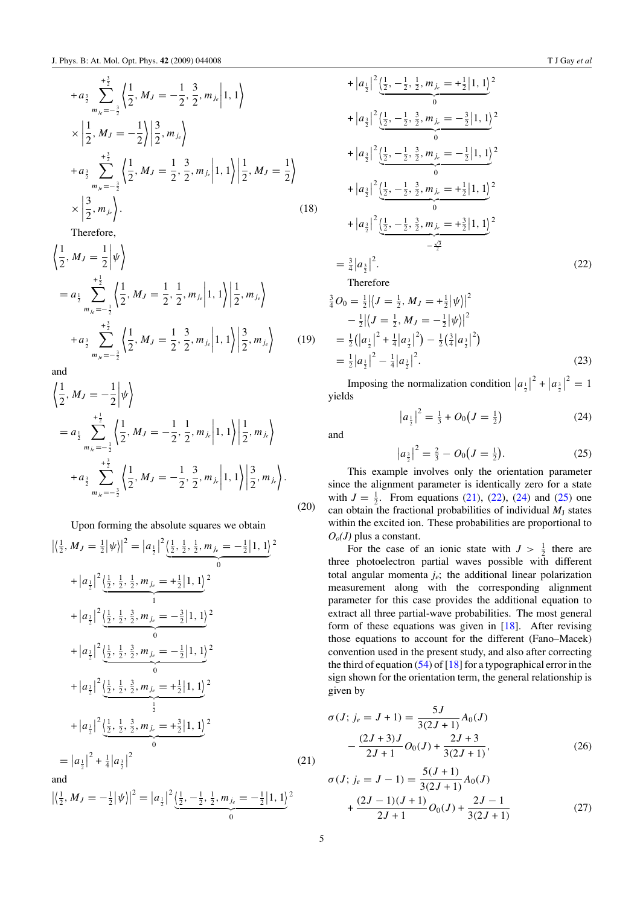$$
+ a_{\frac{3}{2}} \sum_{m_{j_e} = -\frac{3}{2}}^{\frac{+3}{2}} \left\langle \frac{1}{2}, M_J = -\frac{1}{2}, \frac{3}{2}, m_{j_e} \middle| 1, 1 \right\rangle
$$
  
\n
$$
\times \left| \frac{1}{2}, M_J = -\frac{1}{2} \right\rangle \left| \frac{3}{2}, m_{j_e} \right\rangle
$$
  
\n
$$
+ a_{\frac{3}{2}} \sum_{m_{j_e} = -\frac{3}{2}}^{\frac{+3}{2}} \left\langle \frac{1}{2}, M_J = \frac{1}{2}, \frac{3}{2}, m_{j_e} \middle| 1, 1 \right\rangle \left| \frac{1}{2}, M_J = \frac{1}{2} \right\rangle
$$
  
\n
$$
\times \left| \frac{3}{2}, m_{j_e} \right\rangle.
$$
 (18)

Therefore,

$$
\left\langle \frac{1}{2}, M_J = \frac{1}{2} \middle| \psi \right\rangle
$$
\n
$$
= a_{\frac{1}{2}} \sum_{m_{j_e}=-\frac{1}{2}}^{\frac{+1}{2}} \left\langle \frac{1}{2}, M_J = \frac{1}{2}, \frac{1}{2}, m_{j_e} \middle| 1, 1 \right\rangle \left| \frac{1}{2}, m_{j_e} \right\rangle
$$
\n
$$
+ a_{\frac{3}{2}} \sum_{m_{j_e}=-\frac{3}{2}}^{\frac{+3}{2}} \left\langle \frac{1}{2}, M_J = \frac{1}{2}, \frac{3}{2}, m_{j_e} \middle| 1, 1 \right\rangle \left| \frac{3}{2}, m_{j_e} \right\rangle \tag{19}
$$

and

and  
\n
$$
\left\langle \frac{1}{2}, M_J = -\frac{1}{2} \middle| \psi \right\rangle
$$
\n
$$
= a_{\frac{1}{2}} \sum_{m_{j_e}=-\frac{1}{2}}^{+\frac{1}{2}} \left\langle \frac{1}{2}, M_J = -\frac{1}{2}, \frac{1}{2}, m_{j_e} \middle| 1, 1 \right\rangle \left| \frac{1}{2}, m_{j_e} \right\rangle
$$
\n
$$
+ a_{\frac{3}{2}} \sum_{m_{j_e}=-\frac{3}{2}}^{+\frac{3}{2}} \left\langle \frac{1}{2}, M_J = -\frac{1}{2}, \frac{3}{2}, m_{j_e} \middle| 1, 1 \right\rangle \left| \frac{3}{2}, m_{j_e} \right\rangle.
$$
\n(20)

Upon forming the absolute squares we obtain

$$
\left| \left\langle \frac{1}{2}, M_J = \frac{1}{2} |\psi \rangle \right|^2 = \left| a_{\frac{1}{2}} \right|^2 \left\langle \frac{1}{2}, \frac{1}{2}, \frac{1}{2}, m_{j_e} = -\frac{1}{2} | 1, 1 \right\rangle^2
$$
  
+  $\left| a_{\frac{1}{2}} \right|^2 \left\langle \frac{1}{2}, \frac{1}{2}, \frac{1}{2}, m_{j_e} = +\frac{1}{2} | 1, 1 \right\rangle^2$   
+  $\left| a_{\frac{3}{2}} \right|^2 \left\langle \frac{1}{2}, \frac{1}{2}, \frac{3}{2}, m_{j_e} = -\frac{3}{2} | 1, 1 \right\rangle^2$   
+  $\left| a_{\frac{3}{2}} \right|^2 \left\langle \frac{1}{2}, \frac{1}{2}, \frac{3}{2}, m_{j_e} = -\frac{1}{2} | 1, 1 \right\rangle^2$   
+  $\left| a_{\frac{3}{2}} \right|^2 \left\langle \frac{1}{2}, \frac{1}{2}, \frac{3}{2}, m_{j_e} = +\frac{1}{2} | 1, 1 \right\rangle^2$   
+  $\left| a_{\frac{3}{2}} \right|^2 \left\langle \frac{1}{2}, \frac{1}{2}, \frac{3}{2}, m_{j_e} = +\frac{3}{2} | 1, 1 \right\rangle^2$   
=  $\left| a_{\frac{1}{2}} \right|^2 + \frac{1}{4} \left| a_{\frac{3}{2}} \right|^2$  (21)  
and

$$
\left| \left\langle \frac{1}{2}, M_J = -\frac{1}{2} \right| \psi \right\rangle \right|^2 = \left| a_{\frac{1}{2}} \right|^2 \underbrace{\left\langle \frac{1}{2}, -\frac{1}{2}, \frac{1}{2}, m_{j_e} = -\frac{1}{2} \right| 1, 1 \rangle^2}_{0}
$$

$$
+ |a_{\frac{1}{2}}|^2 \underbrace{\left(\frac{1}{2}, -\frac{1}{2}, \frac{1}{2}, m_{j_e} = +\frac{1}{2} | 1, 1\right)}_{0}
$$
\n
$$
+ |a_{\frac{3}{2}}|^2 \underbrace{\left(\frac{1}{2}, -\frac{1}{2}, \frac{3}{2}, m_{j_e} = -\frac{3}{2} | 1, 1\right)}_{0}
$$
\n
$$
+ |a_{\frac{3}{2}}|^2 \underbrace{\left(\frac{1}{2}, -\frac{1}{2}, \frac{3}{2}, m_{j_e} = -\frac{1}{2} | 1, 1\right)}_{0}
$$
\n
$$
+ |a_{\frac{3}{2}}|^2 \underbrace{\left(\frac{1}{2}, -\frac{1}{2}, \frac{3}{2}, m_{j_e} = +\frac{1}{2} | 1, 1\right)}_{0}
$$
\n
$$
+ |a_{\frac{3}{2}}|^2 \underbrace{\left(\frac{1}{2}, -\frac{1}{2}, \frac{3}{2}, m_{j_e} = +\frac{3}{2} | 1, 1\right)}_{-\frac{\sqrt{3}}{2}}
$$
\n
$$
= \frac{3}{4} |a_{\frac{3}{2}}|^2.
$$
\n(22)

$$
The reference
$$

 $\overline{a}$ 

$$
\begin{split}\n\frac{3}{4}O_0 &= \frac{1}{2} \left| \langle J = \frac{1}{2}, M_J = +\frac{1}{2} |\psi \rangle \right|^2 \\
&- \frac{1}{2} \left| \langle J = \frac{1}{2}, M_J = -\frac{1}{2} |\psi \rangle \right|^2 \\
&= \frac{1}{2} \left( \left| a_{\frac{1}{2}} \right|^2 + \frac{1}{4} \left| a_{\frac{3}{2}} \right|^2 \right) - \frac{1}{2} \left( \frac{3}{4} \left| a_{\frac{3}{2}} \right|^2 \right) \\
&= \frac{1}{2} \left| a_{\frac{1}{2}} \right|^2 - \frac{1}{4} \left| a_{\frac{3}{2}} \right|^2.\n\end{split} \tag{23}
$$

Imposing the normalization condition  $|a_{\frac{1}{2}}|^2 + |a_{\frac{3}{2}}|^2 = 1$ yields

$$
\left|a_{\frac{1}{2}}\right|^2 = \frac{1}{3} + O_0\left(J = \frac{1}{2}\right) \tag{24}
$$

and

$$
\left|a_{\frac{3}{2}}\right|^2 = \frac{2}{3} - O_0\left(J = \frac{1}{2}\right). \tag{25}
$$

This example involves only the orientation parameter since the alignment parameter is identically zero for a state with  $J = \frac{1}{2}$ . From equations (21), (22), (24) and (25) one can obtain the fractional probabilities of individual  $M_J$  states within the excited ion. These probabilities are proportional to  $O<sub>o</sub>(J)$  plus a constant.

For the case of an ionic state with  $J > \frac{1}{2}$  there are three photoelectron partial waves possible with different total angular momenta  $j_e$ ; the additional linear polarization measurement along with the corresponding alignment parameter for this case provides the additional equation to extract all three partial-wave probabilities. The most general form of these equations was given in [\[18\]](#page-17-0). After revising those equations to account for the different (Fano–Macek) convention used in the present study, and also after correcting the third of equation  $(54)$  of [\[18\]](#page-17-0) for a typographical error in the sign shown for the orientation term, the general relationship is given by

$$
\sigma(J; j_e = J + 1) = \frac{5J}{3(2J+1)} A_0(J)
$$

$$
- \frac{(2J+3)J}{2J+1} O_0(J) + \frac{2J+3}{3(2J+1)},
$$
(26)

$$
\sigma(J; j_e = J - 1) = \frac{5(J + 1)}{3(2J + 1)} A_0(J)
$$
  
+ 
$$
\frac{(2J - 1)(J + 1)}{2J + 1} O_0(J) + \frac{2J - 1}{3(2J + 1)}
$$
(27)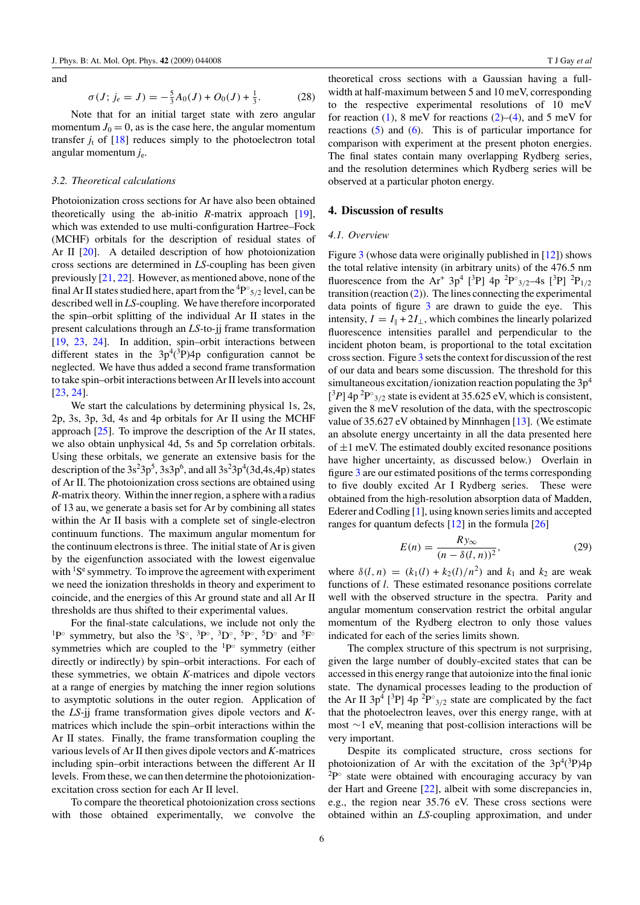and

$$
\sigma(J; j_e = J) = -\frac{5}{3}A_0(J) + O_0(J) + \frac{1}{3}.
$$
 (28)

Note that for an initial target state with zero angular momentum  $J_0 = 0$ , as is the case here, the angular momentum transfer  $j_t$  of  $[18]$  reduces simply to the photoelectron total angular momentum *j*e.

#### *3.2. Theoretical calculations*

Photoionization cross sections for Ar have also been obtained theoretically using the ab-initio *R*-matrix approach [\[19](#page-17-0)], which was extended to use multi-configuration Hartree–Fock (MCHF) orbitals for the description of residual states of Ar II [\[20\]](#page-17-0). A detailed description of how photoionization cross sections are determined in *LS*-coupling has been given previously [\[21,](#page-17-0) [22](#page-17-0)]. However, as mentioned above, none of the final Ar II states studied here, apart from the <sup>4</sup> P◦ <sup>5</sup>*/*<sup>2</sup> level, can be described well in *LS*-coupling. We have therefore incorporated the spin–orbit splitting of the individual Ar II states in the present calculations through an *LS*-to-jj frame transformation [\[19](#page-17-0), [23,](#page-17-0) [24](#page-17-0)]. In addition, spin–orbit interactions between different states in the  $3p^4(^3P)4p$  configuration cannot be neglected. We have thus added a second frame transformation to take spin–orbit interactions between Ar II levels into account [\[23](#page-17-0), [24](#page-17-0)].

We start the calculations by determining physical 1s, 2s, 2p, 3s, 3p, 3d, 4s and 4p orbitals for Ar II using the MCHF approach [\[25\]](#page-17-0). To improve the description of the Ar II states, we also obtain unphysical 4d, 5s and 5p correlation orbitals. Using these orbitals, we generate an extensive basis for the description of the  $3s^23p^5$ ,  $3s3p^6$ , and all  $3s^23p^4(3d,4s,4p)$  states of Ar II. The photoionization cross sections are obtained using *R*-matrix theory. Within the inner region, a sphere with a radius of 13 au, we generate a basis set for Ar by combining all states within the Ar II basis with a complete set of single-electron continuum functions. The maximum angular momentum for the continuum electrons is three. The initial state of Ar is given by the eigenfunction associated with the lowest eigenvalue with  ${}^{1}S^{e}$  symmetry. To improve the agreement with experiment we need the ionization thresholds in theory and experiment to coincide, and the energies of this Ar ground state and all Ar II thresholds are thus shifted to their experimental values.

For the final-state calculations, we include not only the <sup>1</sup>P° symmetry, but also the <sup>3</sup>S°, <sup>3</sup>P°, <sup>3</sup>D°, <sup>5</sup>P°, <sup>5</sup>D° and <sup>5</sup>F° symmetries which are coupled to the  ${}^{1}P^{\circ}$  symmetry (either directly or indirectly) by spin–orbit interactions. For each of these symmetries, we obtain *K*-matrices and dipole vectors at a range of energies by matching the inner region solutions to asymptotic solutions in the outer region. Application of the *LS*-jj frame transformation gives dipole vectors and *K*matrices which include the spin–orbit interactions within the Ar II states. Finally, the frame transformation coupling the various levels of Ar II then gives dipole vectors and *K*-matrices including spin–orbit interactions between the different Ar II levels. From these, we can then determine the photoionizationexcitation cross section for each Ar II level.

To compare the theoretical photoionization cross sections with those obtained experimentally, we convolve the theoretical cross sections with a Gaussian having a fullwidth at half-maximum between 5 and 10 meV, corresponding to the respective experimental resolutions of 10 meV for reaction [\(1\)](#page-3-0), 8 meV for reactions  $(2)$ – $(4)$ , and 5 meV for reactions [\(5\)](#page-3-0) and [\(6\)](#page-3-0). This is of particular importance for comparison with experiment at the present photon energies. The final states contain many overlapping Rydberg series, and the resolution determines which Rydberg series will be observed at a particular photon energy.

#### **4. Discussion of results**

#### *4.1. Overview*

Figure  $\frac{3}{3}$  $\frac{3}{3}$  $\frac{3}{3}$  (whose data were originally published in [\[12\]](#page-17-0)) shows the total relative intensity (in arbitrary units) of the 476.5 nm fluorescence from the Ar<sup>+</sup> 3p<sup>4</sup> [<sup>3</sup>P] 4p <sup>2</sup>P<sup>°</sup><sub>3/2</sub>-4s [<sup>3</sup>P] <sup>2</sup>P<sub>1/2</sub> transition (reaction  $(2)$ ). The lines connecting the experimental data points of figure [3](#page-8-0) are drawn to guide the eye. This intensity,  $I = I_{\parallel} + 2I_{\perp}$ , which combines the linearly polarized fluorescence intensities parallel and perpendicular to the incident photon beam, is proportional to the total excitation cross section. Figure [3](#page-8-0) sets the context for discussion of the rest of our data and bears some discussion. The threshold for this simultaneous excitation*/*ionization reaction populating the 3p4  $[{}^{3}P]$  4p<sup>2</sup>P<sup>°</sup><sub>3/2</sub> state is evident at 35.625 eV, which is consistent, given the 8 meV resolution of the data, with the spectroscopic value of 35.627 eV obtained by Minnhagen  $[13]$ . (We estimate an absolute energy uncertainty in all the data presented here of  $\pm 1$  meV. The estimated doubly excited resonance positions have higher uncertainty, as discussed below.) Overlain in figure [3](#page-8-0) are our estimated positions of the terms corresponding to five doubly excited Ar I Rydberg series. These were obtained from the high-resolution absorption data of Madden, Ederer and Codling [\[1](#page-17-0)], using known series limits and accepted ranges for quantum defects  $[12]$  $[12]$  in the formula  $[26]$  $[26]$ 

$$
E(n) = \frac{Ry_{\infty}}{(n - \delta(l, n))^2},
$$
\n(29)

where  $\delta(l, n) = (k_1(l) + k_2(l)/n^2)$  and  $k_1$  and  $k_2$  are weak functions of *l*. These estimated resonance positions correlate well with the observed structure in the spectra. Parity and angular momentum conservation restrict the orbital angular momentum of the Rydberg electron to only those values indicated for each of the series limits shown.

The complex structure of this spectrum is not surprising, given the large number of doubly-excited states that can be accessed in this energy range that autoionize into the final ionic state. The dynamical processes leading to the production of the Ar II  $3p^4$  [<sup>3</sup>P]  $4p^2P^{\circ}_{3/2}$  state are complicated by the fact that the photoelectron leaves, over this energy range, with at most ∼1 eV, meaning that post-collision interactions will be very important.

Despite its complicated structure, cross sections for photoionization of Ar with the excitation of the  $3p^4(^3P)4p$  $2P<sup>°</sup>$  state were obtained with encouraging accuracy by van der Hart and Greene [\[22](#page-17-0)], albeit with some discrepancies in, e.g., the region near 35.76 eV. These cross sections were obtained within an *LS*-coupling approximation, and under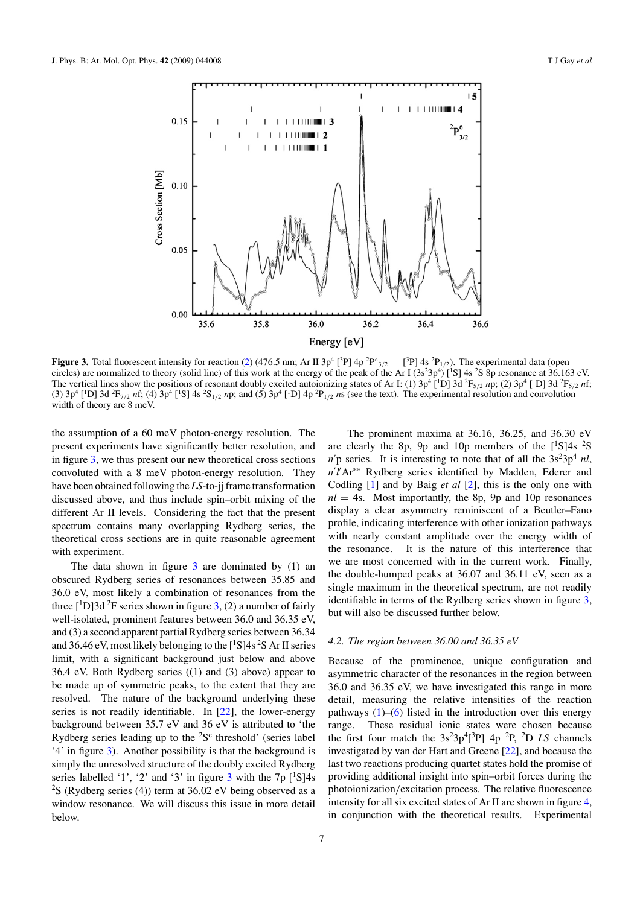<span id="page-8-0"></span>

**Figure 3.** Total fluorescent intensity for reaction [\(2\)](#page-3-0) (476.5 nm; Ar II 3p<sup>4</sup> [<sup>3</sup>P] 4p <sup>2</sup>P°<sub>3/2</sub> — [<sup>3</sup>P] 4s <sup>2</sup>P<sub>1/2</sub>). The experimental data (open circles) are normalized to theory (solid line) of this work at the energy of the peak of the Ar I (3s<sup>2</sup>3p<sup>4</sup>) [<sup>1</sup>S] 4s <sup>2</sup>S 8p resonance at 36.163 eV. The vertical lines show the positions of resonant doubly excited autoionizing states of Ar I: (1)  $3p^4$  [<sup>1</sup>D] 3d  $^2F_{5/2}$  *n*p; (2)  $3p^4$  [<sup>1</sup>D] 3d  $^2F_{5/2}$  *nf*; (3)  $3p^4$  [<sup>1</sup>D] 3d <sup>2</sup>F<sub>7/2</sub> *nf*; (4)  $3p^4$  [<sup>1</sup>S] 4s <sup>2</sup>S<sub>1/2</sub> *np*; and (5)  $3p^4$  [<sup>1</sup>D] 4p <sup>2</sup>P<sub>1/2</sub> *ns* (see the text). The experimental resolution and convolution width of theory are 8 meV.

the assumption of a 60 meV photon-energy resolution. The present experiments have significantly better resolution, and in figure 3, we thus present our new theoretical cross sections convoluted with a 8 meV photon-energy resolution. They have been obtained following the *LS*-to-jj frame transformation discussed above, and thus include spin–orbit mixing of the different Ar II levels. Considering the fact that the present spectrum contains many overlapping Rydberg series, the theoretical cross sections are in quite reasonable agreement with experiment.

The data shown in figure  $3$  are dominated by  $(1)$  and obscured Rydberg series of resonances between 35.85 and 36.0 eV, most likely a combination of resonances from the three  $\left[\text{^{1}D}\right]$ 3d  $\text{^{2}F}$  series shown in figure 3, (2) a number of fairly well-isolated, prominent features between 36.0 and 36.35 eV, and (3) a second apparent partial Rydberg series between 36.34 and 36.46 eV, most likely belonging to the [ $^1$ S]4s  $^2$ S Ar II series limit, with a significant background just below and above 36.4 eV. Both Rydberg series ((1) and (3) above) appear to be made up of symmetric peaks, to the extent that they are resolved. The nature of the background underlying these series is not readily identifiable. In [\[22](#page-17-0)], the lower-energy background between 35.7 eV and 36 eV is attributed to 'the Rydberg series leading up to the  ${}^{2}S^{e}$  threshold' (series label '4' in figure 3). Another possibility is that the background is simply the unresolved structure of the doubly excited Rydberg series labelled '1', '2' and '3' in figure 3 with the  $7p$  [<sup>1</sup>S]4s <sup>2</sup>S (Rydberg series (4)) term at 36.02 eV being observed as a window resonance. We will discuss this issue in more detail below.

The prominent maxima at 36.16, 36.25, and 36.30 eV are clearly the 8p, 9p and 10p members of the  $[^1S]4s$  <sup>2</sup>S  $n/p$  series. It is interesting to note that of all the  $3s^23p^4$  *nl*, n'l'Ar<sup>∗∗</sup> Rydberg series identified by Madden, Ederer and Codling [\[1](#page-17-0)] and by Baig *et al* [\[2\]](#page-17-0), this is the only one with  $nl = 4s$ . Most importantly, the 8p, 9p and 10p resonances display a clear asymmetry reminiscent of a Beutler–Fano profile, indicating interference with other ionization pathways with nearly constant amplitude over the energy width of the resonance. It is the nature of this interference that we are most concerned with in the current work. Finally, the double-humped peaks at 36.07 and 36.11 eV, seen as a single maximum in the theoretical spectrum, are not readily identifiable in terms of the Rydberg series shown in figure 3, but will also be discussed further below.

#### *4.2. The region between 36.00 and 36.35 eV*

Because of the prominence, unique configuration and asymmetric character of the resonances in the region between 36.0 and 36.35 eV, we have investigated this range in more detail, measuring the relative intensities of the reaction pathways  $(1)$ – $(6)$  listed in the introduction over this energy range. These residual ionic states were chosen because the first four match the  $3s^23p^4[{}^3P]$  4p  ${}^2P$ ,  ${}^2D$  *LS* channels investigated by van der Hart and Greene [\[22\]](#page-17-0), and because the last two reactions producing quartet states hold the promise of providing additional insight into spin–orbit forces during the photoionization*/*excitation process. The relative fluorescence intensity for all six excited states of Ar II are shown in figure [4,](#page-9-0) in conjunction with the theoretical results. Experimental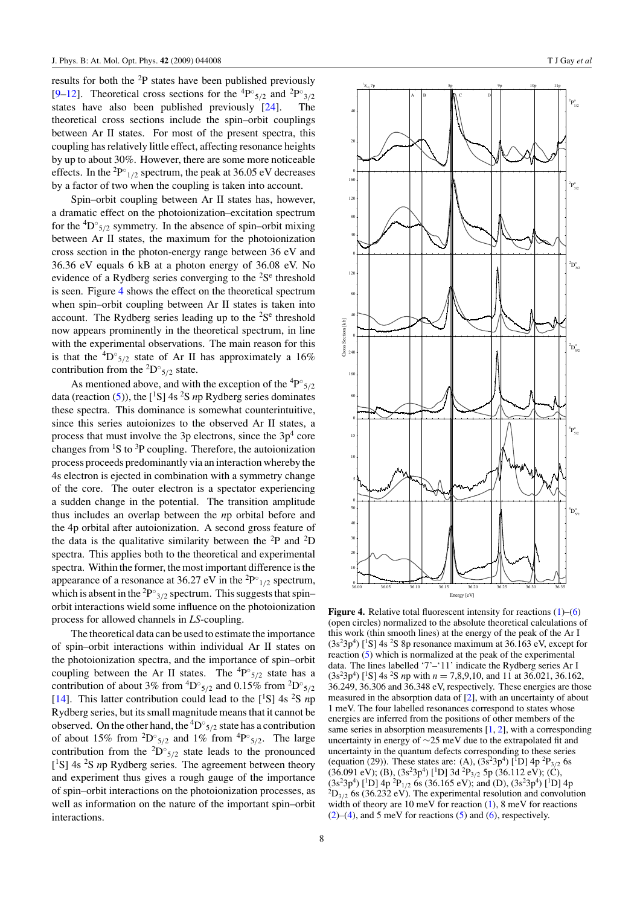<span id="page-9-0"></span>results for both the <sup>2</sup>P states have been published previously [\[9–12](#page-17-0)]. Theoretical cross sections for the <sup>4</sup>P°<sub>5/2</sub> and <sup>2</sup>P°<sub>3/2</sub> states have also been published previously [\[24](#page-17-0)]. The theoretical cross sections include the spin–orbit couplings between Ar II states. For most of the present spectra, this coupling has relatively little effect, affecting resonance heights by up to about 30%. However, there are some more noticeable effects. In the <sup>2</sup>P $^{\circ}$ <sub>1/2</sub> spectrum, the peak at 36.05 eV decreases by a factor of two when the coupling is taken into account.

Spin–orbit coupling between Ar II states has, however, a dramatic effect on the photoionization–excitation spectrum for the  ${}^{4}D^{\circ}_{5/2}$  symmetry. In the absence of spin–orbit mixing between Ar II states, the maximum for the photoionization cross section in the photon-energy range between 36 eV and 36.36 eV equals 6 kB at a photon energy of 36.08 eV. No evidence of a Rydberg series converging to the  $2S<sup>e</sup>$  threshold is seen. Figure 4 shows the effect on the theoretical spectrum when spin–orbit coupling between Ar II states is taken into account. The Rydberg series leading up to the  ${}^{2}S^{e}$  threshold now appears prominently in the theoretical spectrum, in line with the experimental observations. The main reason for this is that the  ${}^{4}D^{\circ}{}_{5/2}$  state of Ar II has approximately a 16% contribution from the  ${}^{2}D^{\circ}_{5/2}$  state.

As mentioned above, and with the exception of the  ${}^{4}P^{\circ}_{5/2}$ data (reaction [\(5\)](#page-3-0)), the [<sup>1</sup>S] 4s <sup>2</sup>S *n*p Rydberg series dominates these spectra. This dominance is somewhat counterintuitive, since this series autoionizes to the observed Ar II states, a process that must involve the 3p electrons, since the  $3p<sup>4</sup>$  core changes from  ${}^{1}S$  to  ${}^{3}P$  coupling. Therefore, the autoionization process proceeds predominantly via an interaction whereby the 4s electron is ejected in combination with a symmetry change of the core. The outer electron is a spectator experiencing a sudden change in the potential. The transition amplitude thus includes an overlap between the *n*p orbital before and the 4p orbital after autoionization. A second gross feature of the data is the qualitative similarity between the  ${}^{2}P$  and  ${}^{2}D$ spectra. This applies both to the theoretical and experimental spectra. Within the former, the most important difference is the appearance of a resonance at  $36.27$  eV in the <sup>2</sup>P<sup>°</sup><sub>1/2</sub> spectrum, which is absent in the <sup>2</sup>P<sup>°</sup><sub>3/2</sub> spectrum. This suggests that spin– orbit interactions wield some influence on the photoionization process for allowed channels in *LS*-coupling.

The theoretical data can be used to estimate the importance of spin–orbit interactions within individual Ar II states on the photoionization spectra, and the importance of spin–orbit coupling between the Ar II states. The  ${}^{4}P^{\circ}_{5/2}$  state has a contribution of about 3% from  ${}^4D^\circ_{5/2}$  and 0.15% from  ${}^2D^\circ_{5/2}$ [\[14](#page-17-0)]. This latter contribution could lead to the  $[{}^{1}S]$  4s  ${}^{2}S$  *n*p Rydberg series, but its small magnitude means that it cannot be observed. On the other hand, the <sup>4</sup> D◦ <sup>5</sup>*/*<sup>2</sup> state has a contribution of about 15% from <sup>2</sup>D°<sub>5/2</sub> and 1% from <sup>4</sup>P°<sub>5/2</sub>. The large contribution from the  ${}^{2}D^{\circ}_{5/2}$  state leads to the pronounced [<sup>1</sup>S] 4s <sup>2</sup>S *n*p Rydberg series. The agreement between theory and experiment thus gives a rough gauge of the importance of spin–orbit interactions on the photoionization processes, as well as information on the nature of the important spin–orbit interactions.



**Figure 4.** Relative total fluorescent intensity for reactions  $(1)$ –[\(6\)](#page-3-0) (open circles) normalized to the absolute theoretical calculations of this work (thin smooth lines) at the energy of the peak of the Ar I  $(3s<sup>2</sup>3p<sup>4</sup>)$  [<sup>1</sup>S] 4s <sup>2</sup>S 8p resonance maximum at 36.163 eV, except for reaction [\(5\)](#page-3-0) which is normalized at the peak of the experimental data. The lines labelled '7'–'11' indicate the Rydberg series Ar I  $(3s<sup>2</sup>3p<sup>4</sup>)$  [<sup>1</sup>S] 4s <sup>2</sup>S *n*p with *n* = 7,8,9,10, and 11 at 36.021, 36.162, 36.249, 36.306 and 36.348 eV, respectively. These energies are those measured in the absorption data of [\[2\]](#page-17-0), with an uncertainty of about 1 meV. The four labelled resonances correspond to states whose energies are inferred from the positions of other members of the same series in absorption measurements [\[1](#page-17-0), [2](#page-17-0)], with a corresponding uncertainty in energy of ∼25 meV due to the extrapolated fit and uncertainty in the quantum defects corresponding to these series (equation (29)). These states are: (A),  $(3s^23p^4)$  [<sup>1</sup>D] 4p<sup>2</sup>P<sub>3/2</sub> 6s (36.091 eV); (B), (3s<sup>2</sup>3p<sup>4</sup>) [<sup>1</sup>D] 3d <sup>2</sup>P<sub>3/2</sub> 5p (36.112 eV); (C),  $(3s<sup>2</sup>3p<sup>4</sup>)$  [<sup>1</sup>D] 4p<sup>2</sup>P<sub>1/2</sub> 6s (36.165 eV); and (D), (3s<sup>2</sup>3p<sup>4</sup>) [<sup>1</sup>D] 4p  ${}^{2}D_{3/2}$  6s (36.232 eV). The experimental resolution and convolution width of theory are 10 meV for reaction [\(1\)](#page-3-0), 8 meV for reactions  $(2)$ – $(4)$ , and 5 meV for reactions  $(5)$  and  $(6)$ , respectively.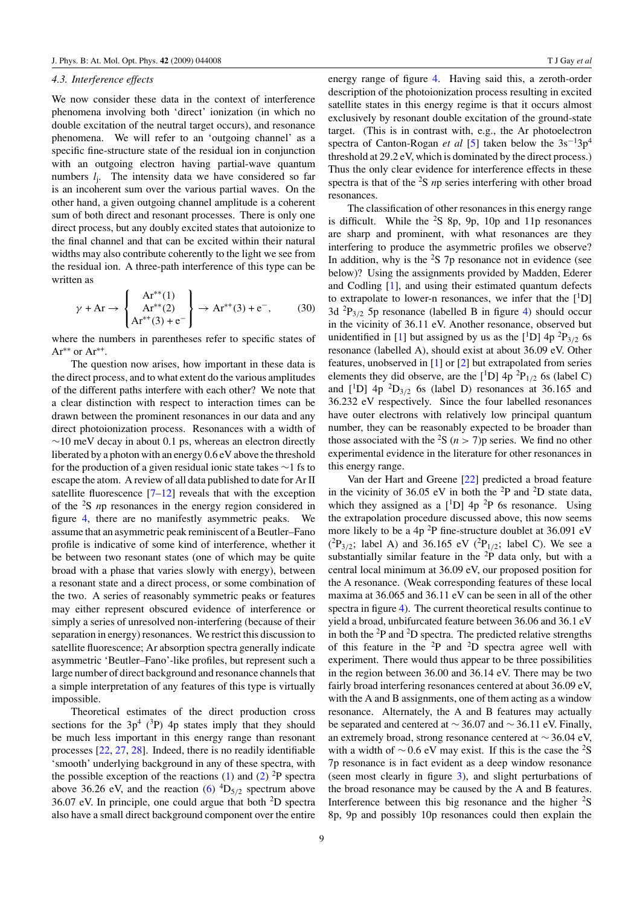#### *4.3. Interference effects*

We now consider these data in the context of interference phenomena involving both 'direct' ionization (in which no double excitation of the neutral target occurs), and resonance phenomena. We will refer to an 'outgoing channel' as a specific fine-structure state of the residual ion in conjunction with an outgoing electron having partial-wave quantum numbers  $l_i$ . The intensity data we have considered so far is an incoherent sum over the various partial waves. On the other hand, a given outgoing channel amplitude is a coherent sum of both direct and resonant processes. There is only one direct process, but any doubly excited states that autoionize to the final channel and that can be excited within their natural widths may also contribute coherently to the light we see from the residual ion. A three-path interference of this type can be written as

$$
\gamma + Ar \to \begin{Bmatrix} Ar^{**}(1) \\ Ar^{**}(2) \\ Ar^{**}(3) + e^- \end{Bmatrix} \to Ar^{**}(3) + e^-, \quad (30)
$$

where the numbers in parentheses refer to specific states of Ar∗∗ or Ar<sup>∗</sup>+.

The question now arises, how important in these data is the direct process, and to what extent do the various amplitudes of the different paths interfere with each other? We note that a clear distinction with respect to interaction times can be drawn between the prominent resonances in our data and any direct photoionization process. Resonances with a width of  $\sim$ 10 meV decay in about 0.1 ps, whereas an electron directly liberated by a photon with an energy 0.6 eV above the threshold for the production of a given residual ionic state takes ∼1 fs to escape the atom. A review of all data published to date for Ar II satellite fluorescence  $[7-12]$  reveals that with the exception of the <sup>2</sup> S *n*p resonances in the energy region considered in figure [4,](#page-9-0) there are no manifestly asymmetric peaks. We assume that an asymmetric peak reminiscent of a Beutler–Fano profile is indicative of some kind of interference, whether it be between two resonant states (one of which may be quite broad with a phase that varies slowly with energy), between a resonant state and a direct process, or some combination of the two. A series of reasonably symmetric peaks or features may either represent obscured evidence of interference or simply a series of unresolved non-interfering (because of their separation in energy) resonances. We restrict this discussion to satellite fluorescence; Ar absorption spectra generally indicate asymmetric 'Beutler–Fano'-like profiles, but represent such a large number of direct background and resonance channels that a simple interpretation of any features of this type is virtually impossible.

Theoretical estimates of the direct production cross sections for the  $3p^4$  (<sup>3</sup>P) 4p states imply that they should be much less important in this energy range than resonant processes [\[22](#page-17-0), [27](#page-17-0), [28](#page-17-0)]. Indeed, there is no readily identifiable 'smooth' underlying background in any of these spectra, with the possible exception of the reactions  $(1)$  and  $(2)$  <sup>2</sup>P spectra above 36.26 eV, and the reaction  $(6)$  <sup>4</sup>D<sub>5/2</sub> spectrum above 36.07 eV. In principle, one could argue that both  ${}^{2}D$  spectra also have a small direct background component over the entire energy range of figure [4.](#page-9-0) Having said this, a zeroth-order description of the photoionization process resulting in excited satellite states in this energy regime is that it occurs almost exclusively by resonant double excitation of the ground-state target. (This is in contrast with, e.g., the Ar photoelectron spectra of Canton-Rogan *et al* [\[5](#page-17-0)] taken below the 3s<sup>-1</sup>3p<sup>4</sup> threshold at 29.2 eV, which is dominated by the direct process.) Thus the only clear evidence for interference effects in these spectra is that of the <sup>2</sup> S *n*p series interfering with other broad resonances.

The classification of other resonances in this energy range is difficult. While the  ${}^{2}S$  8p, 9p, 10p and 11p resonances are sharp and prominent, with what resonances are they interfering to produce the asymmetric profiles we observe? In addition, why is the  ${}^{2}S$  7p resonance not in evidence (see below)? Using the assignments provided by Madden, Ederer and Codling [\[1](#page-17-0)], and using their estimated quantum defects to extrapolate to lower-n resonances, we infer that the  $[{}^{1}D]$ 3d <sup>2</sup> P3*/*<sup>2</sup> 5p resonance (labelled B in figure [4\)](#page-9-0) should occur in the vicinity of 36.11 eV. Another resonance, observed but unidentified in [\[1\]](#page-17-0) but assigned by us as the  $[$ <sup>1</sup>D] 4p <sup>2</sup>P<sub>3/2</sub> 6s resonance (labelled A), should exist at about 36.09 eV. Other features, unobserved in [\[1](#page-17-0)] or [\[2](#page-17-0)] but extrapolated from series elements they did observe, are the  $[$ <sup>1</sup>D] 4p <sup>2</sup>P<sub>1/2</sub> 6s (label C) and  $\begin{bmatrix} 1 \text{D} \end{bmatrix}$  4p  $\begin{bmatrix} 2D_{3/2} \text{6s} \end{bmatrix}$  (label D) resonances at 36.165 and 36.232 eV respectively. Since the four labelled resonances have outer electrons with relatively low principal quantum number, they can be reasonably expected to be broader than those associated with the <sup>2</sup>S ( $n > 7$ )p series. We find no other experimental evidence in the literature for other resonances in this energy range.

Van der Hart and Greene [\[22\]](#page-17-0) predicted a broad feature in the vicinity of 36.05 eV in both the  $^{2}P$  and  $^{2}D$  state data, which they assigned as a  $[$ <sup>1</sup>D] 4p <sup>2</sup>P 6s resonance. Using the extrapolation procedure discussed above, this now seems more likely to be a 4p  $^{2}P$  fine-structure doublet at 36.091 eV  $(^{2}P_{3/2}$ ; label A) and 36.165 eV  $(^{2}P_{1/2}$ ; label C). We see a substantially similar feature in the  ${}^{2}P$  data only, but with a central local minimum at 36.09 eV, our proposed position for the A resonance. (Weak corresponding features of these local maxima at 36.065 and 36.11 eV can be seen in all of the other spectra in figure [4\)](#page-9-0). The current theoretical results continue to yield a broad, unbifurcated feature between 36.06 and 36.1 eV in both the  ${}^{2}P$  and  ${}^{2}D$  spectra. The predicted relative strengths of this feature in the  $2P$  and  $2D$  spectra agree well with experiment. There would thus appear to be three possibilities in the region between 36.00 and 36.14 eV. There may be two fairly broad interfering resonances centered at about 36.09 eV, with the A and B assignments, one of them acting as a window resonance. Alternately, the A and B features may actually be separated and centered at  $\sim$  36.07 and  $\sim$  36.11 eV. Finally, an extremely broad, strong resonance centered at ∼ 36.04 eV, with a width of  $\sim 0.6$  eV may exist. If this is the case the <sup>2</sup>S 7p resonance is in fact evident as a deep window resonance (seen most clearly in figure [3\)](#page-8-0), and slight perturbations of the broad resonance may be caused by the A and B features. Interference between this big resonance and the higher  $2s$ 8p, 9p and possibly 10p resonances could then explain the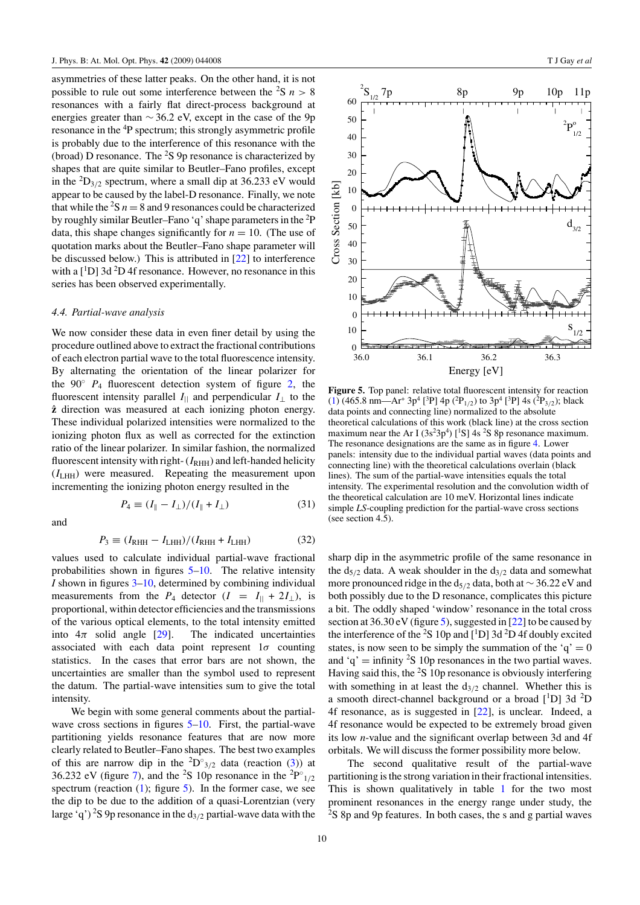<span id="page-11-0"></span>asymmetries of these latter peaks. On the other hand, it is not possible to rule out some interference between the  $2S$  *n* > 8 resonances with a fairly flat direct-process background at energies greater than  $\sim$  36.2 eV, except in the case of the 9p resonance in the <sup>4</sup>P spectrum; this strongly asymmetric profile is probably due to the interference of this resonance with the (broad) D resonance. The  ${}^{2}S$  9p resonance is characterized by shapes that are quite similar to Beutler–Fano profiles, except in the  ${}^{2}D_{3/2}$  spectrum, where a small dip at 36.233 eV would appear to be caused by the label-D resonance. Finally, we note that while the  ${}^{2}S$   $n = 8$  and 9 resonances could be characterized by roughly similar Beutler–Fano 'q' shape parameters in the <sup>2</sup>P data, this shape changes significantly for  $n = 10$ . (The use of quotation marks about the Beutler–Fano shape parameter will be discussed below.) This is attributed in [\[22](#page-17-0)] to interference with a  $[$ <sup>1</sup>D] 3d <sup>2</sup>D 4f resonance. However, no resonance in this series has been observed experimentally.

#### *4.4. Partial-wave analysis*

We now consider these data in even finer detail by using the procedure outlined above to extract the fractional contributions of each electron partial wave to the total fluorescence intensity. By alternating the orientation of the linear polarizer for the  $90°$   $P_4$  fluorescent detection system of figure [2,](#page-4-0) the fluorescent intensity parallel  $I_{\parallel}$  and perpendicular  $I_{\perp}$  to the **zˆ** direction was measured at each ionizing photon energy. These individual polarized intensities were normalized to the ionizing photon flux as well as corrected for the extinction ratio of the linear polarizer. In similar fashion, the normalized fluorescent intensity with right-  $(I<sub>RHH</sub>)$  and left-handed helicity  $(I<sub>LHH</sub>)$  were measured. Repeating the measurement upon incrementing the ionizing photon energy resulted in the

and

$$
P_4 \equiv (I_{\parallel} - I_{\perp})/(I_{\parallel} + I_{\perp}) \tag{31}
$$

$$
P_3 \equiv (I_{\rm RHH} - I_{\rm LHH})/(I_{\rm RHH} + I_{\rm LHH})
$$
(32)

values used to calculate individual partial-wave fractional probabilities shown in figures 5[–10.](#page-14-0) The relative intensity *I* shown in figures [3–](#page-8-0)[10,](#page-14-0) determined by combining individual measurements from the  $P_4$  detector  $(I = I_{||} + 2I_{||})$ , is proportional, within detector efficiencies and the transmissions of the various optical elements, to the total intensity emitted into  $4\pi$  solid angle [\[29\]](#page-17-0). The indicated uncertainties associated with each data point represent 1*σ* counting statistics. In the cases that error bars are not shown, the uncertainties are smaller than the symbol used to represent the datum. The partial-wave intensities sum to give the total intensity.

We begin with some general comments about the partial-wave cross sections in figures 5[–10.](#page-14-0) First, the partial-wave partitioning yields resonance features that are now more clearly related to Beutler–Fano shapes. The best two examples of this are narrow dip in the  ${}^{2}D^{\circ}{}_{3/2}$  data (reaction [\(3\)](#page-3-0)) at 36.232 eV (figure [7\)](#page-12-0), and the <sup>2</sup>S 10p resonance in the <sup>2</sup>P<sup>°</sup><sub>1/2</sub> spectrum (reaction  $(1)$ ; figure 5). In the former case, we see the dip to be due to the addition of a quasi-Lorentzian (very large 'q') <sup>2</sup>S 9p resonance in the  $d_{3/2}$  partial-wave data with the



**Figure 5.** Top panel: relative total fluorescent intensity for reaction [\(1\)](#page-3-0) (465.8 nm—Ar<sup>+</sup> 3p<sup>4</sup> [<sup>3</sup>P] 4p (<sup>2</sup>P<sub>1/2</sub>) to 3p<sup>4</sup> [<sup>3</sup>P] 4s (<sup>2</sup>P<sub>3/2</sub>); black data points and connecting line) normalized to the absolute theoretical calculations of this work (black line) at the cross section maximum near the Ar I  $(3s^23p^4)$  [<sup>1</sup>S] 4s <sup>2</sup>S 8p resonance maximum. The resonance designations are the same as in figure [4.](#page-9-0) Lower panels: intensity due to the individual partial waves (data points and connecting line) with the theoretical calculations overlain (black lines). The sum of the partial-wave intensities equals the total intensity. The experimental resolution and the convolution width of the theoretical calculation are 10 meV. Horizontal lines indicate simple *LS*-coupling prediction for the partial-wave cross sections (see section 4.5).

sharp dip in the asymmetric profile of the same resonance in the  $d_{5/2}$  data. A weak shoulder in the  $d_{3/2}$  data and somewhat more pronounced ridge in the d5*/*<sup>2</sup> data, both at ∼ 36.22 eV and both possibly due to the D resonance, complicates this picture a bit. The oddly shaped 'window' resonance in the total cross section at  $36.30 \text{ eV}$  (figure 5), suggested in [\[22\]](#page-17-0) to be caused by the interference of the <sup>2</sup>S 10p and  $[$ <sup>1</sup>D] 3d <sup>2</sup>D 4f doubly excited states, is now seen to be simply the summation of the ' $q' = 0$ and 'q' = infinity <sup>2</sup>S 10p resonances in the two partial waves. Having said this, the  ${}^{2}S$  10p resonance is obviously interfering with something in at least the  $d_{3/2}$  channel. Whether this is a smooth direct-channel background or a broad [<sup>1</sup>D] 3d <sup>2</sup>D 4f resonance, as is suggested in [\[22\]](#page-17-0), is unclear. Indeed, a 4f resonance would be expected to be extremely broad given its low *n*-value and the significant overlap between 3d and 4f orbitals. We will discuss the former possibility more below.

The second qualitative result of the partial-wave partitioning is the strong variation in their fractional intensities. This is shown qualitatively in table [1](#page-12-0) for the two most prominent resonances in the energy range under study, the <sup>2</sup>S 8p and 9p features. In both cases, the s and g partial waves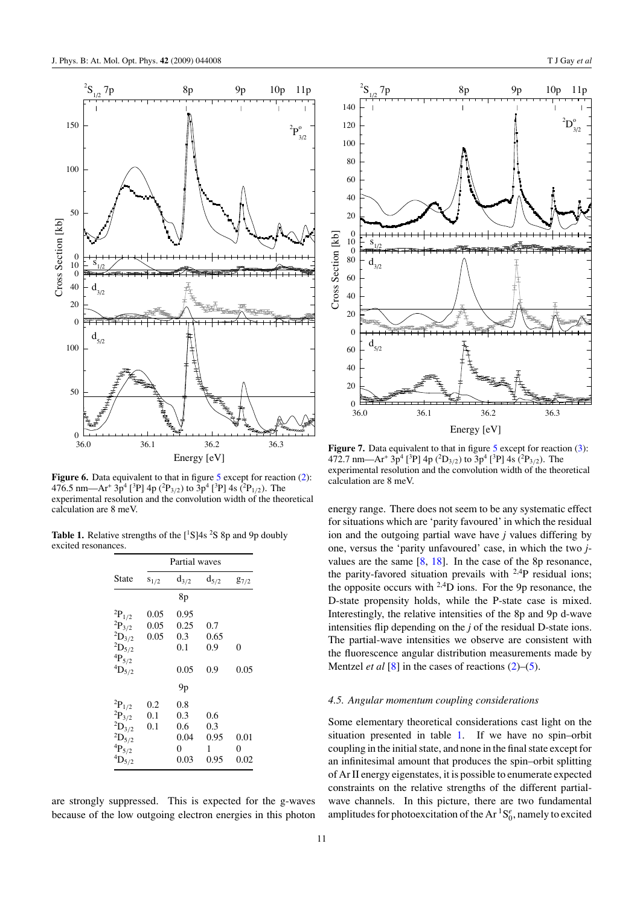<span id="page-12-0"></span>

**Figure 6.** Data equivalent to that in figure [5](#page-11-0) except for reaction [\(2\)](#page-3-0): 476.5 nm—Ar<sup>+</sup> 3p<sup>4</sup> [<sup>3</sup>P] 4p (<sup>2</sup>P<sub>3/2</sub>) to 3p<sup>4</sup> [<sup>3</sup>P] 4s (<sup>2</sup>P<sub>1/2</sub>). The experimental resolution and the convolution width of the theoretical calculation are 8 meV.

**Table 1.** Relative strengths of the  $[^1S]4s$  <sup>2</sup>S 8p and 9p doubly excited resonances.

|                      | Partial waves |           |           |           |
|----------------------|---------------|-----------|-----------|-----------|
| State                | $S_{1/2}$     | $d_{3/2}$ | $d_{5/2}$ | $g_{7/2}$ |
|                      |               | 8p        |           |           |
| ${}^{2}P_{1/2}$      | 0.05          | 0.95      |           |           |
| ${}^{2}P_{3/2}$      | 0.05          | 0.25      | 0.7       |           |
| $^{2}D_{3/2}$        | 0.05          | 0.3       | 0.65      |           |
| $^2\mathrm{D}_{5/2}$ |               | 0.1       | 0.9       | 0         |
| $^4\mathrm{P}_{5/2}$ |               |           |           |           |
| ${}^4D_{5/2}$        |               | 0.05      | 0.9       | 0.05      |
|                      |               | 9p        |           |           |
| ${}^{2}P_{1/2}$      | 0.2           | 0.8       |           |           |
| $^2\mathrm{P}_{3/2}$ | 0.1           | 0.3       | 0.6       |           |
| $^2\mathrm{D}_{3/2}$ | 0.1           | 0.6       | 0.3       |           |
| $^2\mathrm{D}_{5/2}$ |               | 0.04      | 0.95      | 0.01      |
| $^4\mathrm{P}_{5/2}$ |               | 0         | 1         | 0         |
| $^4\mathrm{D}_{5/2}$ |               | 0.03      | 0.95      | 0.02      |

are strongly suppressed. This is expected for the g-waves because of the low outgoing electron energies in this photon



**Figure 7.** Data equivalent to that in figure [5](#page-11-0) except for reaction [\(3\)](#page-3-0): 472.7 nm—Ar<sup>+</sup> 3p4 [ 3 P] 4p (<sup>2</sup> D3*/*2) to 3p4 [ 3 P] 4s (<sup>2</sup> P3*/*2). The experimental resolution and the convolution width of the theoretical calculation are 8 meV.

energy range. There does not seem to be any systematic effect for situations which are 'parity favoured' in which the residual ion and the outgoing partial wave have *j* values differing by one, versus the 'parity unfavoured' case, in which the two *j*values are the same  $[8, 18]$  $[8, 18]$  $[8, 18]$  $[8, 18]$ . In the case of the 8p resonance, the parity-favored situation prevails with 2,4P residual ions; the opposite occurs with  $^{2,4}D$  ions. For the 9p resonance, the D-state propensity holds, while the P-state case is mixed. Interestingly, the relative intensities of the 8p and 9p d-wave intensities flip depending on the *j* of the residual D-state ions. The partial-wave intensities we observe are consistent with the fluorescence angular distribution measurements made by Mentzel *et al* [\[8\]](#page-17-0) in the cases of reactions [\(2\)](#page-3-0)–[\(5\)](#page-3-0).

#### *4.5. Angular momentum coupling considerations*

Some elementary theoretical considerations cast light on the situation presented in table 1. If we have no spin–orbit coupling in the initial state, and none in the final state except for an infinitesimal amount that produces the spin–orbit splitting of Ar II energy eigenstates, it is possible to enumerate expected constraints on the relative strengths of the different partialwave channels. In this picture, there are two fundamental amplitudes for photoexcitation of the  $Ar<sup>1</sup>S<sub>0</sub><sup>e</sup>$ , namely to excited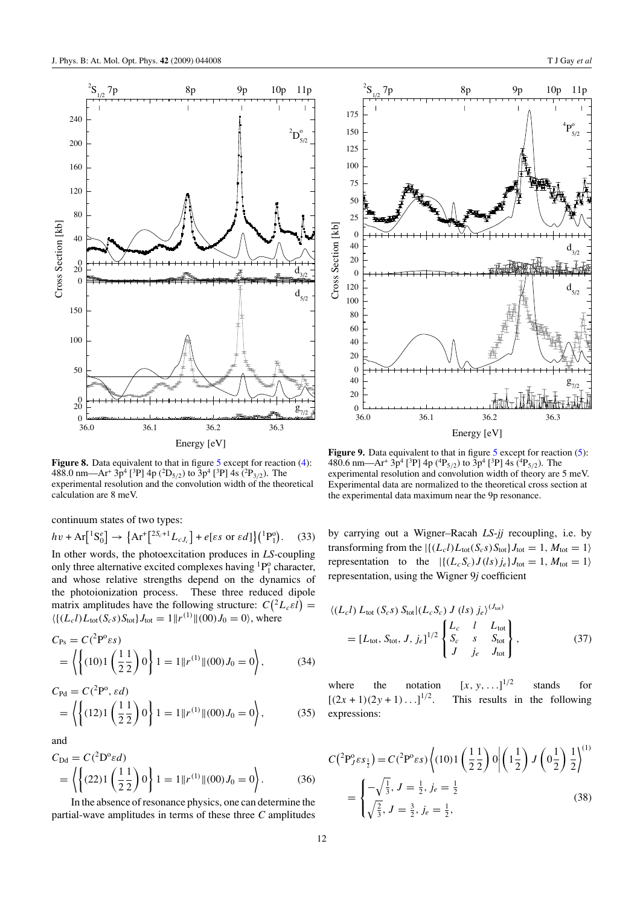<span id="page-13-0"></span>

**Figure 8.** Data equivalent to that in figure [5](#page-11-0) except for reaction [\(4\)](#page-3-0): 488.0 nm—Ar<sup>+</sup> 3p4 [ 3 P] 4p (<sup>2</sup> D5*/*2) to 3p4 [ 3 P] 4s (<sup>2</sup> P3*/*2). The experimental resolution and the convolution width of the theoretical calculation are 8 meV.

continuum states of two types:

$$
hv + Ar[^{1}S_{0}^{e}] \rightarrow \{Ar^{+}[{}^{2S_{c}+1}L_{cJ_{c}}] + e[\varepsilon s \text{ or } \varepsilon d]\}({}^{1}P_{1}^{o}). \quad (33)
$$
  
In other words, the photoexcitation produces in LS-coupling  
only three alternative excited complexes having  ${}^{1}P_{1}^{o}$  character,  
and whose relative strengths depend on the dynamics of  
the photoionization process. These three reduced dipole  
matrix amplitudes have the following structure:  $C({}^{2}L_{c}\varepsilon l)$  =  
 $\langle { (L_{c}l)L_{\text{tot}}(S_{c}s)S_{\text{tot}} }\rangle_{J_{\text{tot}}}=1 ||r^{(1)}||(00)J_{0}=0\rangle$ , where

$$
C_{\text{Ps}} = C(^{2}P^{o} \varepsilon s)
$$
  
=  $\left\langle \left\{ (10)1 \left( \frac{1}{2} \frac{1}{2} \right) 0 \right\} 1 = 1 ||r^{(1)}|| (00) J_{0} = 0 \right\rangle,$  (34)

$$
C_{\text{Pd}} = C(^{2}P^{\text{o}}, \varepsilon d)
$$
  
=  $\left\langle \left\{ (12)1 \left( \frac{1}{2} \frac{1}{2} \right) 0 \right\} 1 = 1 ||r^{(1)}|| (00) J_0 = 0 \right\rangle,$  (35)

and

$$
C_{\text{Dd}} = C(^{2}D^{o}\varepsilon d)
$$
  
=  $\left\langle \left\{ (22)1 \left( \frac{1}{2} \frac{1}{2} \right) 0 \right\} 1 = 1 ||r^{(1)}|| (00) J_{0} = 0 \right\rangle$ . (36)

In the absence of resonance physics, one can determine the partial-wave amplitudes in terms of these three *C* amplitudes



**Figure 9.** Data equivalent to that in figure [5](#page-11-0) except for reaction [\(5\)](#page-3-0): 480.6 nm—Ar<sup>+</sup> 3p<sup>4</sup> [<sup>3</sup>P] 4p (<sup>4</sup>P<sub>5/2</sub>) to 3p<sup>4</sup> [<sup>3</sup>P] 4s (<sup>4</sup>P<sub>5/2</sub>). The experimental resolution and convolution width of theory are 5 meV. Experimental data are normalized to the theoretical cross section at the experimental data maximum near the 9p resonance.

by carrying out a Wigner–Racah *LS*-*jj* recoupling, i.e. by transforming from the  $|\{(L_c l)L_{\text{tot}}(S_c s)S_{\text{tot}}\}J_{\text{tot}} = 1, M_{\text{tot}} = 1\rangle$ representation to the  $|\{(L_cS_c)J(ls)j_e\}J_{\text{tot}}=1, M_{\text{tot}}=1\rangle$ representation, using the Wigner 9*j* coefficient

$$
\langle (L_c I) L_{\text{tot}} (S_c s) S_{\text{tot}} | (L_c S_c) J (l s) j_e \rangle^{(J_{\text{tot}})}
$$
  
=  $[L_{\text{tot}}, S_{\text{tot}}, J, j_e]^{1/2} \begin{cases} L_c & l & L_{\text{tot}} \\ S_c & s & S_{\text{tot}} \\ J & j_e & J_{\text{tot}} \end{cases}$ , (37)

where the notation  $[x, y, \ldots]^{1/2}$ <sup>1</sup>*/*<sup>2</sup> stands for  $[(2x+1)(2y+1)...]^{1/2}$ . This results in the following expressions:

$$
C(^{2}P_{J}^{o}\varepsilon s_{\frac{1}{2}}) = C(^{2}P^{o}\varepsilon s) \left\langle (10)1\left(\frac{1}{2}\frac{1}{2}\right)0 \middle| \left(1\frac{1}{2}\right)J\left(0\frac{1}{2}\right)\frac{1}{2}\right\rangle^{(1)}
$$

$$
= \begin{cases} -\sqrt{\frac{1}{3}}, J = \frac{1}{2}, j_{e} = \frac{1}{2} \\ \sqrt{\frac{2}{3}}, J = \frac{3}{2}, j_{e} = \frac{1}{2}, \end{cases}
$$
(38)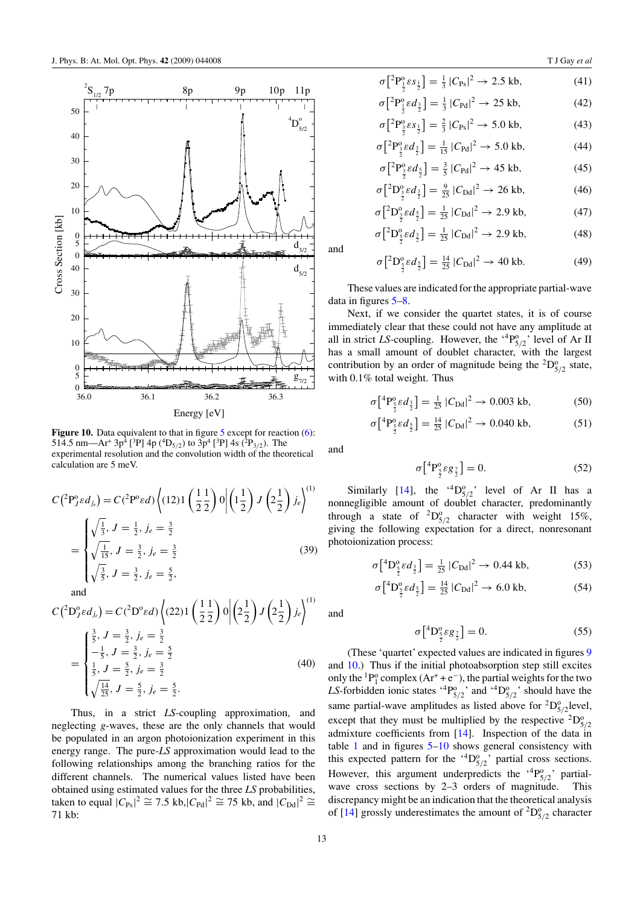<span id="page-14-0"></span>

**Figure 10.** Data equivalent to that in figure [5](#page-11-0) except for reaction [\(6\)](#page-3-0): 514.5 nm—Ar<sup>+</sup> 3p<sup>4</sup> [<sup>3</sup>P] 4p (<sup>4</sup>D<sub>5/2</sub>) to 3p<sup>4</sup> [<sup>3</sup>P] 4s (<sup>2</sup>P<sub>3/2</sub>). The experimental resolution and the convolution width of the theoretical calculation are 5 meV.

$$
C(^{2}P_{J}^{o}\varepsilon d_{j_{e}}) = C(^{2}P^{o}\varepsilon d)\left\langle (12)1\left(\frac{1}{2}\frac{1}{2}\right)0\middle|\left(1\frac{1}{2}\right)J\left(2\frac{1}{2}\right)j_{e}\right\rangle^{(1)}
$$

$$
= \begin{cases} \sqrt{\frac{1}{3}}, J = \frac{1}{2}, j_{e} = \frac{3}{2} \\ \sqrt{\frac{1}{15}}, J = \frac{3}{2}, j_{e} = \frac{3}{2} \\ \sqrt{\frac{3}{5}}, J = \frac{3}{2}, j_{e} = \frac{5}{2}, \end{cases}
$$
(39)

and

$$
C(^{2}D_{j}^{0}\varepsilon d_{j_{e}}) = C(^{2}D^{0}\varepsilon d)\left((22)1\left(\frac{1}{2}\frac{1}{2}\right)0\middle|\left(2\frac{1}{2}\right)J\left(2\frac{1}{2}\right)j_{e}\right)^{(1)}
$$

$$
= \begin{cases} \frac{3}{5}, J = \frac{3}{2}, j_{e} = \frac{3}{2} \\ -\frac{1}{5}, J = \frac{3}{2}, j_{e} = \frac{5}{2} \\ \frac{1}{5}, J = \frac{5}{2}, j_{e} = \frac{3}{2} \\ \sqrt{\frac{14}{25}}, J = \frac{5}{2}, j_{e} = \frac{5}{2} \end{cases}
$$
(40)

Thus, in a strict *LS*-coupling approximation, and neglecting *g*-waves, these are the only channels that would be populated in an argon photoionization experiment in this energy range. The pure-*LS* approximation would lead to the following relationships among the branching ratios for the different channels. The numerical values listed have been obtained using estimated values for the three *LS* probabilities, taken to equal  $|C_{\text{Ps}}|^2 \cong 7.5$  kb, $|C_{\text{Pd}}|^2 \cong 75$  kb, and  $|C_{\text{Dd}}|^2 \cong$ 71 kb:

$$
\sigma \left[ {}^{2}P_{\frac{1}{2}}^{0} \varepsilon s_{\frac{1}{2}} \right] = \frac{1}{3} \left| C_{\text{Ps}} \right|^{2} \to 2.5 \text{ kb}, \tag{41}
$$

$$
\sigma \left[ {}^{2}P_{\frac{1}{2}}^{0}\varepsilon d_{\frac{3}{2}} \right] = \frac{1}{3} |C_{\text{Pd}}|^{2} \to 25 \text{ kb}, \tag{42}
$$

$$
\sigma \left[ {}^{2}P_{\frac{3}{2}}^{0} \varepsilon s_{\frac{1}{2}} \right] = \frac{2}{3} |C_{Ps}|^{2} \to 5.0 \text{ kb}, \tag{43}
$$

$$
\sigma \left[ {}^{2}P_{\frac{3}{2}}^{0} \varepsilon d_{\frac{3}{2}} \right] = \frac{1}{15} \left| C_{\text{Pd}} \right|^{2} \to 5.0 \text{ kb}, \tag{44}
$$

$$
\sigma \left[ {}^{2}P_{\frac{3}{2}}^{0} \varepsilon d_{\frac{5}{2}} \right] = \frac{3}{5} \left| C_{\text{Pd}} \right|^{2} \to 45 \text{ kb}, \tag{45}
$$

$$
\sigma \left[ {}^{2}D_{\frac{3}{2}}^{0}\varepsilon d_{\frac{3}{2}} \right] = \frac{9}{25} |C_{\text{Dd}}|^{2} \to 26 \text{ kb},\tag{46}
$$

$$
\sigma \left[ {}^{2}D_{\frac{3}{2}}^{0}\varepsilon d_{\frac{5}{2}} \right] = \frac{1}{25} |C_{\text{Dd}}|^{2} \to 2.9 \text{ kb},\tag{47}
$$

$$
\sigma \left[ {}^{2}D_{\frac{5}{2}}^{0}\varepsilon d_{\frac{3}{2}} \right] = \frac{1}{25} |C_{\text{Dd}}|^{2} \to 2.9 \text{ kb},\tag{48}
$$

$$
\sigma \left[ {}^{2}D_{\frac{5}{2}}^{\circ} \varepsilon d_{\frac{5}{2}} \right] = \frac{14}{25} \left| C_{\text{Dd}} \right|^{2} \to 40 \text{ kb.}
$$
 (49)

These values are indicated for the appropriate partial-wave data in figures [5](#page-11-0)[–8.](#page-13-0)

Next, if we consider the quartet states, it is of course immediately clear that these could not have any amplitude at all in strict *LS*-coupling. However, the  $4P_{5/2}^{\circ}$ ' level of Ar II has a small amount of doublet character, with the largest contribution by an order of magnitude being the  ${}^{2}D_{5/2}^{o}$  state, with 0.1% total weight. Thus

$$
\sigma \left[ {}^{4}P_{\frac{5}{2}}^{\text{o}} \varepsilon d_{\frac{3}{2}} \right] = \frac{1}{25} \left| C_{\text{Dd}} \right|^{2} \to 0.003 \text{ kb},\tag{50}
$$

$$
\sigma \left[ {}^{4}P_{\frac{5}{2}}^{0} \varepsilon d_{\frac{5}{2}} \right] = \frac{14}{25} \left| C_{\text{Dd}} \right|^{2} \to 0.040 \text{ kb}, \tag{51}
$$

and

and

$$
\sigma \left[ {}^{4}P_{\frac{5}{2}}^{0}\varepsilon g_{\frac{7}{2}} \right] = 0. \tag{52}
$$

Similarly [\[14\]](#page-17-0), the  ${}^{4}D_{5/2}^{0}$ , level of Ar II has a nonnegligible amount of doublet character, predominantly through a state of  ${}^{2}D_{5/2}^{o}$  character with weight 15%, giving the following expectation for a direct, nonresonant photoionization process:

$$
\sigma \left[ {}^{4}D_{\frac{5}{2}}^{0} \varepsilon d_{\frac{3}{2}} \right] = \frac{1}{25} |C_{\text{Dd}}|^{2} \to 0.44 \text{ kb}, \tag{53}
$$

$$
\sigma \left[ {}^{4}D_{\frac{5}{2}}^{0}\varepsilon d_{\frac{5}{2}} \right] = \frac{14}{25} |C_{\text{Dd}}|^{2} \to 6.0 \text{ kb},\tag{54}
$$

and

$$
\sigma \left[ {}^{4}D_{\frac{5}{2}}^{\circ} \varepsilon g_{\frac{7}{2}} \right] = 0. \tag{55}
$$

(These 'quartet' expected values are indicated in figures [9](#page-13-0) and 10.) Thus if the initial photoabsorption step still excites only the <sup>1</sup>P<sup>o</sup><sup>0</sup> complex (Ar<sup>+</sup> + e<sup>-</sup>), the partial weights for the two LS-forbidden ionic states  ${}^{4}P^{o}_{5/2}$  and  ${}^{4}D^{o}_{5/2}$  should have the same partial-wave amplitudes as listed above for  ${}^{2}D^{o}_{5/2}$  level, except that they must be multiplied by the respective  ${}^{2}D_{5/2}^{\circ}$ admixture coefficients from [\[14](#page-17-0)]. Inspection of the data in table [1](#page-12-0) and in figures  $5-10$  shows general consistency with this expected pattern for the  $^{4}D_{5/2}^{o}$ , partial cross sections. However, this argument underpredicts the  $^{4}P_{5/2}^{o}$  partialwave cross sections by 2–3 orders of magnitude. This discrepancy might be an indication that the theoretical analysis of [\[14\]](#page-17-0) grossly underestimates the amount of  ${}^{2}D_{5/2}^{\circ}$  character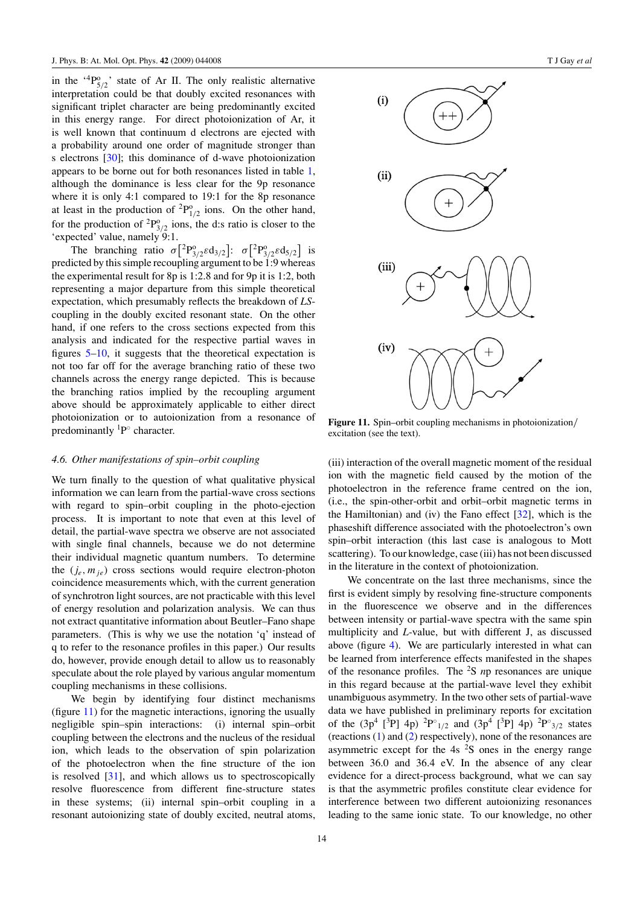in the  $^{4}P_{5/2}^{o}$  state of Ar II. The only realistic alternative interpretation could be that doubly excited resonances with significant triplet character are being predominantly excited in this energy range. For direct photoionization of Ar, it is well known that continuum d electrons are ejected with a probability around one order of magnitude stronger than s electrons [\[30](#page-18-0)]; this dominance of d-wave photoionization appears to be borne out for both resonances listed in table [1,](#page-12-0) although the dominance is less clear for the 9p resonance where it is only 4:1 compared to 19:1 for the 8p resonance at least in the production of  ${}^{2}P^{o}_{1/2}$  ions. On the other hand, for the production of  ${}^{2}P^{o}_{3/2}$  ions, the d:s ratio is closer to the 'expected' value, namely 9:1.

The branching ratio  $\sigma$ <sup>[2</sup> $P^{\circ}_{3/2}$ *ε*d<sub>3/2</sub>]:  $\sigma$ <sup>[2</sup> $P^{\circ}_{3/2}$ *ε*d<sub>5/2</sub>] is predicted by this simple recoupling argument to be 1:9 whereas the experimental result for 8p is 1:2.8 and for 9p it is 1:2, both representing a major departure from this simple theoretical expectation, which presumably reflects the breakdown of *LS*coupling in the doubly excited resonant state. On the other hand, if one refers to the cross sections expected from this analysis and indicated for the respective partial waves in figures [5](#page-11-0)[–10,](#page-14-0) it suggests that the theoretical expectation is not too far off for the average branching ratio of these two channels across the energy range depicted. This is because the branching ratios implied by the recoupling argument above should be approximately applicable to either direct photoionization or to autoionization from a resonance of predominantly  ${}^{1}P^{\circ}$  character.

#### *4.6. Other manifestations of spin–orbit coupling*

We turn finally to the question of what qualitative physical information we can learn from the partial-wave cross sections with regard to spin–orbit coupling in the photo-ejection process. It is important to note that even at this level of detail, the partial-wave spectra we observe are not associated with single final channels, because we do not determine their individual magnetic quantum numbers. To determine the  $(j_e, m_{ie})$  cross sections would require electron-photon coincidence measurements which, with the current generation of synchrotron light sources, are not practicable with this level of energy resolution and polarization analysis. We can thus not extract quantitative information about Beutler–Fano shape parameters. (This is why we use the notation 'q' instead of q to refer to the resonance profiles in this paper.) Our results do, however, provide enough detail to allow us to reasonably speculate about the role played by various angular momentum coupling mechanisms in these collisions.

We begin by identifying four distinct mechanisms (figure 11) for the magnetic interactions, ignoring the usually negligible spin–spin interactions: (i) internal spin–orbit coupling between the electrons and the nucleus of the residual ion, which leads to the observation of spin polarization of the photoelectron when the fine structure of the ion is resolved [\[31](#page-18-0)], and which allows us to spectroscopically resolve fluorescence from different fine-structure states in these systems; (ii) internal spin–orbit coupling in a resonant autoionizing state of doubly excited, neutral atoms,



**Figure 11.** Spin–orbit coupling mechanisms in photoionization*/* excitation (see the text).

(iii) interaction of the overall magnetic moment of the residual ion with the magnetic field caused by the motion of the photoelectron in the reference frame centred on the ion, (i.e., the spin-other-orbit and orbit–orbit magnetic terms in the Hamiltonian) and (iv) the Fano effect [\[32\]](#page-18-0), which is the phaseshift difference associated with the photoelectron's own spin–orbit interaction (this last case is analogous to Mott scattering). To our knowledge, case (iii) has not been discussed in the literature in the context of photoionization.

We concentrate on the last three mechanisms, since the first is evident simply by resolving fine-structure components in the fluorescence we observe and in the differences between intensity or partial-wave spectra with the same spin multiplicity and *L*-value, but with different J, as discussed above (figure [4\)](#page-9-0). We are particularly interested in what can be learned from interference effects manifested in the shapes of the resonance profiles. The <sup>2</sup> S *n*p resonances are unique in this regard because at the partial-wave level they exhibit unambiguous asymmetry. In the two other sets of partial-wave data we have published in preliminary reports for excitation of the  $(3p^4 \binom{3}{1} 4p)$   ${}^{2}P^{\circ}{}_{1/2}$  and  $(3p^4 \binom{3}{1} 4p)$   ${}^{2}P^{\circ}{}_{3/2}$  states (reactions [\(1\)](#page-3-0) and [\(2\)](#page-3-0) respectively), none of the resonances are asymmetric except for the  $4s<sup>2</sup>S$  ones in the energy range between 36.0 and 36.4 eV. In the absence of any clear evidence for a direct-process background, what we can say is that the asymmetric profiles constitute clear evidence for interference between two different autoionizing resonances leading to the same ionic state. To our knowledge, no other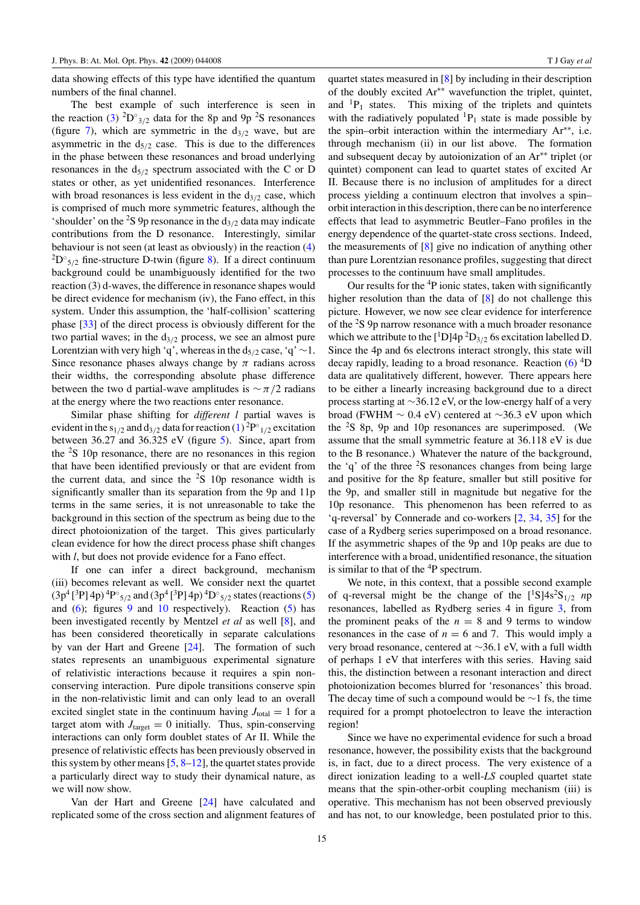data showing effects of this type have identified the quantum numbers of the final channel.

The best example of such interference is seen in the reaction [\(3\)](#page-3-0)  ${}^{2}D^{\circ}_{3/2}$  data for the 8p and 9p <sup>2</sup>S resonances (figure [7\)](#page-12-0), which are symmetric in the  $d_{3/2}$  wave, but are asymmetric in the  $d_{5/2}$  case. This is due to the differences in the phase between these resonances and broad underlying resonances in the d5*/*<sup>2</sup> spectrum associated with the C or D states or other, as yet unidentified resonances. Interference with broad resonances is less evident in the d<sub>3/2</sub> case, which is comprised of much more symmetric features, although the 'shoulder' on the <sup>2</sup>S 9p resonance in the  $d_{3/2}$  data may indicate contributions from the D resonance. Interestingly, similar behaviour is not seen (at least as obviously) in the reaction [\(4\)](#page-3-0)  ${}^{2}D^{\circ}_{5/2}$  fine-structure D-twin (figure [8\)](#page-13-0). If a direct continuum background could be unambiguously identified for the two reaction (3) d-waves, the difference in resonance shapes would be direct evidence for mechanism (iv), the Fano effect, in this system. Under this assumption, the 'half-collision' scattering phase [\[33](#page-18-0)] of the direct process is obviously different for the two partial waves; in the  $d_{3/2}$  process, we see an almost pure Lorentzian with very high 'q', whereas in the  $d_{5/2}$  case, 'q' ~1. Since resonance phases always change by  $\pi$  radians across their widths, the corresponding absolute phase difference between the two d partial-wave amplitudes is ∼ *π/*2 radians at the energy where the two reactions enter resonance.

Similar phase shifting for *different l* partial waves is evident in the s<sub>1/2</sub> and d<sub>3/2</sub> data for reaction [\(1\)](#page-3-0)<sup>2</sup>P<sup>°</sup><sub>1/2</sub> excitation between 36.27 and 36.325 eV (figure [5\)](#page-11-0). Since, apart from the  $2S$  10p resonance, there are no resonances in this region that have been identified previously or that are evident from the current data, and since the  ${}^{2}S$  10p resonance width is significantly smaller than its separation from the 9p and 11p terms in the same series, it is not unreasonable to take the background in this section of the spectrum as being due to the direct photoionization of the target. This gives particularly clean evidence for how the direct process phase shift changes with *l*, but does not provide evidence for a Fano effect.

If one can infer a direct background, mechanism (iii) becomes relevant as well. We consider next the quartet (3p4 [ 3 P] 4p) <sup>4</sup> P◦ <sup>5</sup>*/*<sup>2</sup> and (3p4 [ 3 P] 4p) <sup>4</sup> D◦ <sup>5</sup>*/*<sup>2</sup> states (reactions [\(5\)](#page-3-0) and  $(6)$ ; figures [9](#page-13-0) and [10](#page-14-0) respectively). Reaction  $(5)$  has been investigated recently by Mentzel *et al* as well [\[8](#page-17-0)], and has been considered theoretically in separate calculations by van der Hart and Greene [\[24](#page-17-0)]. The formation of such states represents an unambiguous experimental signature of relativistic interactions because it requires a spin nonconserving interaction. Pure dipole transitions conserve spin in the non-relativistic limit and can only lead to an overall excited singlet state in the continuum having  $J_{total} = 1$  for a target atom with  $J<sub>target</sub> = 0$  initially. Thus, spin-conserving interactions can only form doublet states of Ar II. While the presence of relativistic effects has been previously observed in this system by other means  $[5, 8-12]$  $[5, 8-12]$ , the quartet states provide a particularly direct way to study their dynamical nature, as we will now show.

Van der Hart and Greene [\[24\]](#page-17-0) have calculated and replicated some of the cross section and alignment features of quartet states measured in [\[8](#page-17-0)] by including in their description of the doubly excited Ar∗∗ wavefunction the triplet, quintet, and  ${}^{1}P_1$  states. This mixing of the triplets and quintets with the radiatively populated  ${}^{1}P_1$  state is made possible by the spin–orbit interaction within the intermediary Ar∗∗, i.e. through mechanism (ii) in our list above. The formation and subsequent decay by autoionization of an Ar∗∗ triplet (or quintet) component can lead to quartet states of excited Ar II. Because there is no inclusion of amplitudes for a direct process yielding a continuum electron that involves a spin– orbit interaction in this description, there can be no interference effects that lead to asymmetric Beutler–Fano profiles in the energy dependence of the quartet-state cross sections. Indeed, the measurements of [\[8\]](#page-17-0) give no indication of anything other than pure Lorentzian resonance profiles, suggesting that direct processes to the continuum have small amplitudes.

Our results for the <sup>4</sup>P ionic states, taken with significantly higher resolution than the data of [\[8](#page-17-0)] do not challenge this picture. However, we now see clear evidence for interference of the <sup>2</sup>S 9p narrow resonance with a much broader resonance which we attribute to the  $\left[{}^{1}D\right]4p~^{2}D_{3/2}$  6s excitation labelled D. Since the 4p and 6s electrons interact strongly, this state will decay rapidly, leading to a broad resonance. Reaction [\(6\)](#page-3-0) <sup>4</sup>D data are qualitatively different, however. There appears here to be either a linearly increasing background due to a direct process starting at ∼36.12 eV, or the low-energy half of a very broad (FWHM ∼ 0.4 eV) centered at ∼36.3 eV upon which the  ${}^{2}S$  8p, 9p and 10p resonances are superimposed. (We assume that the small symmetric feature at 36.118 eV is due to the B resonance.) Whatever the nature of the background, the 'q' of the three  $2S$  resonances changes from being large and positive for the 8p feature, smaller but still positive for the 9p, and smaller still in magnitude but negative for the 10p resonance. This phenomenon has been referred to as 'q-reversal' by Connerade and co-workers [\[2](#page-17-0), [34,](#page-18-0) [35](#page-18-0)] for the case of a Rydberg series superimposed on a broad resonance. If the asymmetric shapes of the 9p and 10p peaks are due to interference with a broad, unidentified resonance, the situation is similar to that of the  ${}^{4}P$  spectrum.

We note, in this context, that a possible second example of q-reversal might be the change of the  $[^1S]4s^2S_{1/2}$  *n*p resonances, labelled as Rydberg series 4 in figure [3,](#page-8-0) from the prominent peaks of the  $n = 8$  and 9 terms to window resonances in the case of  $n = 6$  and 7. This would imply a very broad resonance, centered at ∼36.1 eV, with a full width of perhaps 1 eV that interferes with this series. Having said this, the distinction between a resonant interaction and direct photoionization becomes blurred for 'resonances' this broad. The decay time of such a compound would be  $\sim$ 1 fs, the time required for a prompt photoelectron to leave the interaction region!

Since we have no experimental evidence for such a broad resonance, however, the possibility exists that the background is, in fact, due to a direct process. The very existence of a direct ionization leading to a well-*LS* coupled quartet state means that the spin-other-orbit coupling mechanism (iii) is operative. This mechanism has not been observed previously and has not, to our knowledge, been postulated prior to this.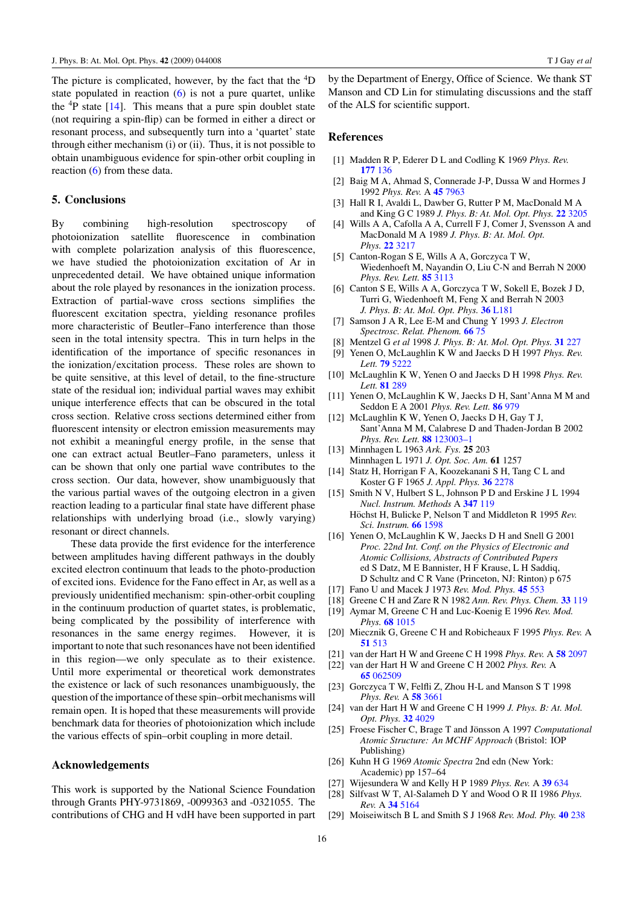<span id="page-17-0"></span>The picture is complicated, however, by the fact that the <sup>4</sup>D state populated in reaction  $(6)$  is not a pure quartet, unlike the  ${}^{4}P$  state [14]. This means that a pure spin doublet state (not requiring a spin-flip) can be formed in either a direct or resonant process, and subsequently turn into a 'quartet' state through either mechanism (i) or (ii). Thus, it is not possible to obtain unambiguous evidence for spin-other orbit coupling in reaction [\(6\)](#page-3-0) from these data.

#### **5. Conclusions**

By combining high-resolution spectroscopy of photoionization satellite fluorescence in combination with complete polarization analysis of this fluorescence, we have studied the photoionization excitation of Ar in unprecedented detail. We have obtained unique information about the role played by resonances in the ionization process. Extraction of partial-wave cross sections simplifies the fluorescent excitation spectra, yielding resonance profiles more characteristic of Beutler–Fano interference than those seen in the total intensity spectra. This in turn helps in the identification of the importance of specific resonances in the ionization*/*excitation process. These roles are shown to be quite sensitive, at this level of detail, to the fine-structure state of the residual ion; individual partial waves may exhibit unique interference effects that can be obscured in the total cross section. Relative cross sections determined either from fluorescent intensity or electron emission measurements may not exhibit a meaningful energy profile, in the sense that one can extract actual Beutler–Fano parameters, unless it can be shown that only one partial wave contributes to the cross section. Our data, however, show unambiguously that the various partial waves of the outgoing electron in a given reaction leading to a particular final state have different phase relationships with underlying broad (i.e., slowly varying) resonant or direct channels.

These data provide the first evidence for the interference between amplitudes having different pathways in the doubly excited electron continuum that leads to the photo-production of excited ions. Evidence for the Fano effect in Ar, as well as a previously unidentified mechanism: spin-other-orbit coupling in the continuum production of quartet states, is problematic, being complicated by the possibility of interference with resonances in the same energy regimes. However, it is important to note that such resonances have not been identified in this region—we only speculate as to their existence. Until more experimental or theoretical work demonstrates the existence or lack of such resonances unambiguously, the question of the importance of these spin–orbit mechanisms will remain open. It is hoped that these measurements will provide benchmark data for theories of photoionization which include the various effects of spin–orbit coupling in more detail.

#### **Acknowledgements**

This work is supported by the National Science Foundation through Grants PHY-9731869, -0099363 and -0321055. The contributions of CHG and H vdH have been supported in part by the Department of Energy, Office of Science. We thank ST Manson and CD Lin for stimulating discussions and the staff of the ALS for scientific support.

#### **References**

- [1] Madden R P, Ederer D L and Codling K 1969 *Phys. Rev.* **177** [136](http://dx.doi.org/10.1103/PhysRev.177.136)
- [2] Baig M A, Ahmad S, Connerade J-P, Dussa W and Hormes J 1992 *Phys. Rev.* A **45** [7963](http://dx.doi.org/10.1103/PhysRevA.45.7963)
- [3] Hall R I, Avaldi L, Dawber G, Rutter P M, MacDonald M A and King G C 1989 *J. Phys. B: At. Mol. Opt. Phys.* **22** [3205](http://dx.doi.org/10.1088/0953-4075/22/20/013)
- [4] Wills A A, Cafolla A A, Currell F J, Comer J, Svensson A and MacDonald M A 1989 *J. Phys. B: At. Mol. Opt. Phys.* **22** [3217](http://dx.doi.org/10.1088/0953-4075/22/20/014)
- [5] Canton-Rogan S E, Wills A A, Gorczyca T W,
- Wiedenhoeft M, Nayandin O, Liu C-N and Berrah N 2000 *Phys. Rev. Lett.* **85** [3113](http://dx.doi.org/10.1103/PhysRevLett.85.3113)
- [6] Canton S E, Wills A A, Gorczyca T W, Sokell E, Bozek J D, Turri G, Wiedenhoeft M, Feng X and Berrah N 2003 *J. Phys. B: At. Mol. Opt. Phys.* **36** [L181](http://dx.doi.org/10.1088/0953-4075/36/11/103)
- [7] Samson J A R, Lee E-M and Chung Y 1993 *J. Electron Spectrosc. Relat. Phenom.* **66** [75](http://dx.doi.org/10.1016/0368-2048(93)01839-7)
- [8] Mentzel G *et al* 1998 *J. Phys. B: At. Mol. Opt. Phys.* **31** [227](http://dx.doi.org/10.1088/0953-4075/31/2/006)
- [9] Yenen O, McLaughlin K W and Jaecks D H 1997 *Phys. Rev. Lett.* **79** [5222](http://dx.doi.org/10.1103/PhysRevLett.79.5222)
- [10] McLaughlin K W, Yenen O and Jaecks D H 1998 *Phys. Rev. Lett.* **81** [289](http://dx.doi.org/10.1103/PhysRevLett.81.289)
- [11] Yenen O, McLaughlin K W, Jaecks D H, Sant'Anna M M and Seddon E A 2001 *Phys. Rev. Lett.* **86** [979](http://dx.doi.org/10.1103/PhysRevLett.86.979)
- [12] McLaughlin K W, Yenen O, Jaecks D H, Gay T J, Sant'Anna M M, Calabrese D and Thaden-Jordan B 2002 *Phys. Rev. Lett.* **88** [123003–1](http://dx.doi.org/10.1103/PhysRevLett.88.123003)
- [13] Minnhagen L 1963 *Ark. Fys.* **25** 203 Minnhagen L 1971 *J. Opt. Soc. Am.* **61** 1257
- [14] Statz H, Horrigan F A, Koozekanani S H, Tang C L and Koster G F 1965 *J. Appl. Phys.* **36** [2278](http://dx.doi.org/10.1063/1.1714463)
- [15] Smith N V, Hulbert S L, Johnson P D and Erskine J L 1994 *Nucl. Instrum. Methods* A **[347](http://dx.doi.org/10.1016/0168-9002(94)91866-X)** 119 Höchst H, Bulicke P, Nelson T and Middleton R 1995 Rev.
	- *Sci. Instrum.* **66** [1598](http://dx.doi.org/10.1063/1.1145919)
- [16] Yenen O, McLaughlin K W, Jaecks D H and Snell G 2001 *Proc. 22nd Int. Conf. on the Physics of Electronic and Atomic Collisions, Abstracts of Contributed Papers* ed S Datz, M E Bannister, H F Krause, L H Saddiq, D Schultz and C R Vane (Princeton, NJ: Rinton) p 675
- [17] Fano U and Macek J 1973 *Rev. Mod. Phys.* **45** [553](http://dx.doi.org/10.1103/RevModPhys.45.553)
- [18] Greene C H and Zare R N 1982 *Ann. Rev. Phys. Chem.* **33** [119](http://dx.doi.org/10.1146/annurev.pc.33.100182.001003)
- [19] Aymar M, Greene C H and Luc-Koenig E 1996 *Rev. Mod. Phys.* **68** [1015](http://dx.doi.org/10.1103/RevModPhys.68.1015)
- [20] Miecznik G, Greene C H and Robicheaux F 1995 *Phys. Rev.* A **51** [513](http://dx.doi.org/10.1103/PhysRevA.51.513)
- [21] van der Hart H W and Greene C H 1998 *Phys. Rev.* A **58** [2097](http://dx.doi.org/10.1103/PhysRevA.58.2097)
- [22] van der Hart H W and Greene C H 2002 *Phys. Rev.* A **65** [062509](http://dx.doi.org/10.1103/PhysRevA.65.062509)
- [23] Gorczyca T W, Felfli Z, Zhou H-L and Manson S T 1998 *Phys. Rev.* A **58** [3661](http://dx.doi.org/10.1103/PhysRevA.58.3661)
- [24] van der Hart H W and Greene C H 1999 *J. Phys. B: At. Mol. Opt. Phys.* **32** [4029](http://dx.doi.org/10.1088/0953-4075/32/16/303)
- [25] Froese Fischer C, Brage T and Jönsson A 1997 Computational *Atomic Structure: An MCHF Approach* (Bristol: IOP Publishing)
- [26] Kuhn H G 1969 *Atomic Spectra* 2nd edn (New York: Academic) pp 157–64
- [27] Wijesundera W and Kelly H P 1989 *Phys. Rev.* A **39** [634](http://dx.doi.org/10.1103/PhysRevA.39.634)
- [28] Silfvast W T, Al-Salameh D Y and Wood O R II 1986 *Phys. Rev.* A **34** [5164](http://dx.doi.org/10.1103/PhysRevA.34.5164)
- [29] Moiseiwitsch B L and Smith S J 1968 *Rev. Mod. Phy.* **40** [238](http://dx.doi.org/10.1103/RevModPhys.40.238)